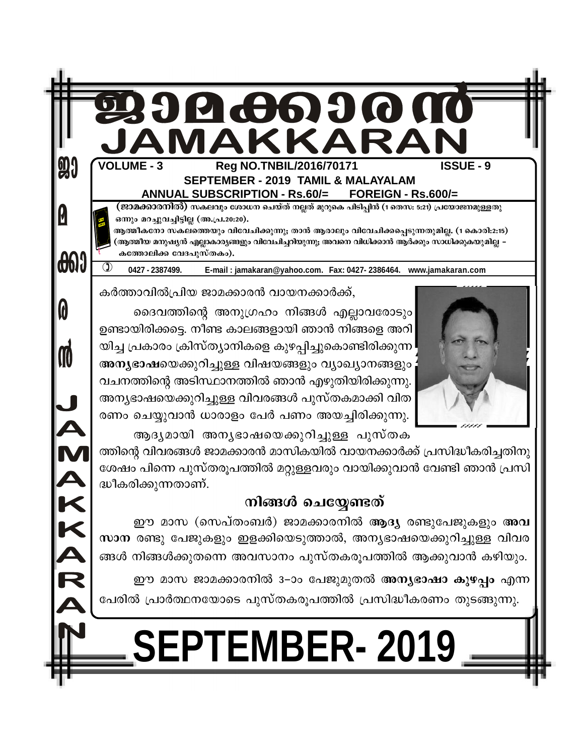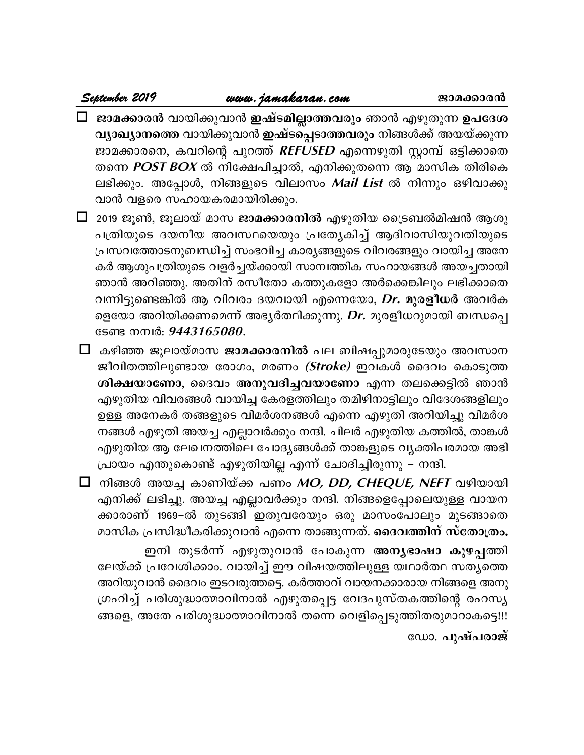**September <sup>2019</sup> www.jamakaran.com Pma¡mc³ Pma-¡m-c³** hmbn -¡p -hm³ **CjvS-an-Ãm-¯-hcpw** Rm³ Fgp -Xp¶ **D]-tZ-i-വ്യാഖ്യാനത്തെ** വായിക്കുവാൻ **ഇഷ്ടപ്പെടാത്തവരും** നിങ്ങൾക്ക് അയയ്ക്കുന്ന Pma -¡m -c -s\, Ih -dnsâ ]pd¯v **REFUSED** Fs¶-gpXn Ìm¼v H«n -¡msX Xs¶ POST BOX \nt£-]n -¨mÂ, F\n¡pXs¶ B amknI XncnsI **ജാമക്കാരൻ വാ**യിക്കുവാൻ **ഇഷ്ടമില്ലാത്തവരും** ഞാൻ എഴുതുന്ന **ഉപദേശ**<br>വ്യാഖ്യാനത്തെ വായിക്കുവാൻ **ഇഷ്ടപ്പെടാത്തവരും** നിങ്ങൾക്ക് അയയ്ക്കുന്ന<br>ജാമക്കാരനെ, കവറിന്റെ പുറത്ത് *REFUSED* എന്നെഴുതി സ്റ്റാമ്പ് ഒട്ടിക്കാതെ<br>തന്നെ *POST BOX* വ്യാഖ്യാനത്തെ വായിക്കുവാൻ **ഇഷ്ടപ്പെടാത്തവരും** ന്<br>ജാമക്കാരനെ, കവറിന്റെ പുറത്ത് *REFUSED* എന്നെഴു<br>തന്നെ *POST BOX* ൽ നിക്ഷേപിച്ചാൽ, എനിക്കുതന്നെ<br>ലഭിക്കും. അപ്പോൾ, നിങ്ങളുടെ വിലാസം *Mail List*<br>വാൻ വളരെ സഹായകരമായിരിക്കും.<br>201 ജാമക്കാരനെ, കവറിന്റെ പുറത്ത് *REFUSED* എന്നെഴുതി സ്റ്റാമ്പ് ഒട്ടിക്കാതെ<br>തന്നെ *POST BOX* ൽ നിക്ഷേപിച്ചാൽ, എനിക്കുതന്നെ ആ മാസിക തിരികെ<br>ലഭിക്കും. അപ്പോൾ, നിങ്ങളുടെ വിലാസം *Mail List* ൽ നിന്നും ഒഴിവാക്കു<br>വാൻ വളരെ സഹായകരമായിര

തന്നെ *POST BOX* ൽ നിക്ഷേപിച്ചാൽ, എനിക്കുതന്നെ ആ മാസിക തിരികെ<br>ലഭിക്കും. അപ്പോൾ, നിങ്ങളുടെ വിലാസം *Mail List* ൽ നിന്നും ഒഴിവാക്കു<br>വാൻ വളരെ സഹായകരമായിരിക്കും.<br>2019 ജൂൺ, ജൂലായ് മാസ **ജാമക്കാരനിൽ** എഴുതിയ ട്രൈബൽമിഷൻ ആശു<br>പത്രിയു പ്രസവത്തോടനുബന്ധിച്ച് സംഭവിച്ച കാര്യങ്ങളുടെ വിവരങ്ങളും വായിച്ച അനേ കർ ആശുപത്രിയുടെ വളർച്ചയ്ക്കായി സാമ്പത്തിക സഹായങ്ങൾ അയച്ചതായി 2019 ജൂൺ, ജൂലായ് മാസ **ജാമക്കാരനിൽ** എഴുതിയ ട്രൈബൽമിഷൻ ആശു<br>പത്രിയുടെ ദയനീയ അവസ്ഥയെയും പ്രത്യേകിച്ച് ആദിവാസിയുവതിയുടെ<br>പ്രസവത്തോടനുബന്ധിച്ച് സംഭവിച്ച കാര്യങ്ങളുടെ വിവരങ്ങളും വായിച്ച അനേ<br>കർ ആശുപത്രിയുടെ വളർച്ചയ്ക്കായി സാമ്പത്ത പത്രിയുടെ ദയനീയ അവസ്ഥയെയും പ്രത്യേകിച്ച് ആദിവാസിയുവതിയുടെ<br>പ്രസവത്തോടനുബന്ധിച്ച് സംഭവിച്ച കാര്യങ്ങളുടെ വിവരങ്ങളും വായിച്ച അനേ<br>കർ ആശുപത്രിയുടെ വളർച്ചയ്ക്കായി സാമ്പത്തിക സഹായങ്ങൾ അയച്ചതായി<br>ഞാൻ അറിഞ്ഞു. അതിന് രസീതോ കത്തുകളോ അ പ്രസവത്തോടനുബന്ധിച്ച് സംഭവിച്ച കാര്യങ്ങളുടെ വിവരങ്ങളും വായിച്ച അനേ<br>കർ ആശുപത്രിയുടെ വളർച്ചയ്ക്കായി സാമ്പത്തിക സഹായങ്ങൾ അയച്ചതായി<br>ഞാൻ അറിഞ്ഞു. അതിന് രസീതോ കത്തുകളോ അർക്കെങ്കിലും ലഭിക്കാതെ<br>വന്നിട്ടുണ്ടെങ്കിൽ ആ വിവരം ദയവായി എ ടേണ്ട നമ്പർ: *9443165080*. ഞാൻ അറിഞ്ഞു. അതിന് രസീതോ കത്തുകളോ അർക്കെങ്കിലും ലഭിക്കാതെ<br>വന്നിട്ടുണ്ടെങ്കിൽ ആ വിവരം ദയവായി എന്നെയോ, *Dr.* മുര**ളീധ**ർ അവർക<br>ളെയോ അറിയിക്കണമെന്ന് അഭ്യർത്ഥിക്കുന്നു. *Dr.* മുരളീധറുമായി ബന്ധപ്പെ<br>ടേണ്ട നമ്പർ: *9443165080.*<br>⊡ കഴ

വന്നിട്ടുണ്ടെങ്കിൽ ആ വിവരം ദയവായി എന്നെയോ, *Dr.* മുര**ളീധ**ർ അവർക<br>ളെയോ അറിയിക്കണമെന്ന് അഭ്യർത്ഥിക്കുന്നു. *Dr.* മുരളീധറുമായി ബന്ധപ്പെ<br>ടേണ്ട നമ്പർ: 9443165080.<br>കഴിഞ്ഞ ജൂലായ്മാസ **ജാമക്കാരനിൽ പല ബിഷപ്പുമാരുടേയും അവസാന**<br>ജീവിതത് ളെയോ അറിയിക്കണമെന്ന് അഭൃർത്ഥിക്കുന്നു. *Dr.* മുരളീധറുമായി ബന്ധപ്പെ<br>ടേണ്ട നമ്പർ: *9443165080.*<br>കഴിഞ്ഞ ജൂലായ്മാസ **ജാമക്കാരനിൽ പല ബിഷപ്പുമാരുടേയും അവസാന**<br>ജീവിതത്തിലുണ്ടായ രോഗം, മരണം *(Stroke)* ഇവകൾ ദൈവം കൊടുത്ത<br>ശിക്ഷയാണോ, ദൈ എഴുതിയ വിവരങ്ങൾ വായിച്ച കേരളത്തിലും തമിഴിനാട്ടിലും വിദേശങ്ങളിലും കഴിഞ്ഞ ജൂലായ്മാസ **ജാമക്കാരനിൽ** പല ബിഷപ്പുമാരുടേയും അവസാന<br>ജീവിതത്തിലുണ്ടായ രോഗം, മരണം *(Stroke)* ഇവകൾ ദൈവം കൊടുത്ത<br>ശിക്ഷയാണോ, ദൈവം അനുവദിച്ചവയാണോ എന്ന തലക്കെട്ടിൽ ഞാൻ<br>എഴുതിയ വിവരങ്ങൾ വായിച്ച കേരളത്തിലും തമിഴിനാട്ടിലും വിദേ നങ്ങൾ എഴുതി അയച്ച എല്ലാവർക്കും നന്ദി. ചിലർ എഴുതിയ കത്തിൽ, താങ്കൾ ശിക്ഷയാണോ, ദൈവം അനുവദിച്ചവയാണോ എന്ന തലക്കെട്ടിൽ ഞാൻ<br>എഴുതിയ വിവരങ്ങൾ വായിച്ച കേരളത്തിലും തമിഴിനാട്ടിലും വിദേശങ്ങളിലും<br>ഉള്ള അനേകർ തങ്ങളുടെ വിമർശനങ്ങൾ എന്നെ എഴുതിയ കത്തിൽ, താങ്കൾ<br>എഴുതിയ ആ ലേഖനത്തിലെ ചോദ്യങ്ങൾക്ക് താങ്കളുടെ വ എഴുതിയ വിവരങ്ങൾ വായിച്ച കേരളത്തിലും തമിഴിനാട്ടിലും വിദേശങ്ങളിലു<br>ഉള്ള അനേകർ തങ്ങളുടെ വിമർശനങ്ങൾ എന്നെ എഴുതി അറിയിച്ചു വിമർശ<br>നങ്ങൾ എഴുതി അയച്ച എല്ലാവർക്കും നന്ദി. ചിലർ എഴുതിയ കത്തിൽ, താങ്കം<br>എഴുതിയ ആ ലേഖനത്തിലെ ചോദ്യങ്ങൾക്ക് ഉള്ള അനേകർ തങ്ങളുടെ വിമർശനങ്ങൾ എന്നെ എഴുതി അറിയിച്ചു വിമർശ<br>നങ്ങൾ എഴുതി അയച്ച എല്ലാവർക്കും നന്ദി. ചിലർ എഴുതിയ കത്തിൽ, താങ്കൾ<br>എഴുതിയ ആ ലേഖനത്തിലെ ചോദ്യങ്ങൾക്ക് താങ്കളുടെ വ്യക്തിപരമായ അഭി<br>പ്രായം എന്തുകൊണ്ട് എഴുതിയില്ല എന്ന്

നങ്ങൾ എഴുതി അയച്ച എല്ലാവർക്കും നന്ദി. ചിലർ എഴുതിയ കത്തിൽ, താങ്കൾ<br>എഴുതിയ ആ ലേഖനത്തിലെ ചോദ്യങ്ങൾക്ക് താങ്കളുടെ വ്യക്തിപരമായ അഭി<br>പ്രായം എന്തുകൊണ്ട് എഴുതിയില്ല എന്ന് ചോദിച്ചിരുന്നു – നന്ദി.<br>നിങ്ങൾ അയച്ച കാണിയ്ക്ക പണം *MO, DD,* എഴുതിയ ആ ലേഖനത്തിലെ ചോദ്യങ്ങൾക്ക് താങ്കളുടെ വൃക്തിപരമായ അഭി<br>പ്രായം എന്തുകൊണ്ട് എഴുതിയില്ല എന്ന് ചോദിച്ചിരുന്നു – നന്ദി.<br>നിങ്ങൾ അയച്ച കാണിയ്ക്ക പണം *MO, DD, CHEQUE, NEFT* വഴിയായി<br>എനിക്ക് ലഭിച്ചു. അയച്ച എല്ലാവർക്കും നന്ദി. പ്രായം എന്തുകൊണ്ട് എഴുതിയില്ല എന്ന് ചോദിച്ചിരുന്നു – നന്ദി.<br>□ നിങ്ങൾ അയച്ച കാണിയ്ക്ക പണം *MO, DD, CHEQUE, NEFT* വഴിയായി<br>എനിക്ക് ലഭിച്ചു. അയച്ച എല്ലാവർക്കും നന്ദി. നിങ്ങളെപ്പോലയുള്ള വായന<br>കാരാണ് 1969–ൽ തുടങ്ങി ഇതുവരേയും ഒര അയച്ച കാണിയ്ക്ക പണം *MO, DD, CHEQUE, NEFT* വഴിയായി<br>ലഭിച്ചു. അയച്ച എല്ലാവർക്കും നന്ദി. നിങ്ങളെപ്പോലെയുള്ള വായന<br>് 1969–ൽ തുടങ്ങി ഇതുവരേയും ഒരു മാസംപോലും മുടങ്ങാതെ<br>പ്രസിദ്ധീകരിക്കുവാൻ എന്നെ താങ്ങുന്നത്. **ദൈവത്തിന് സ്തോത്രം.** എനിക്ക് ലഭിച്ചു. അയച്ച എല്ലാവർക്കും നന്ദി. നിങ്ങളെപ്പോലെയുള്ള വായന<br>ക്കാരാണ് 1969–ൽ തുടങ്ങി ഇതുവരേയും ഒരു മാസംപോലും മുടങ്ങാതെ<br>മാസിക പ്രസിദ്ധീകരിക്കുവാൻ എന്നെ താങ്ങുന്നത്. **ദൈവത്തിന് സ്തോത്രം.**<br>ഇനി തുടർന്ന് എഴുതുവാൻ അറിയുവാൻ ദൈവം ഇടവരുത്തട്ടെ. കർത്താവ് വായനക്കാരായ നിങ്ങളെ അനു മാസിക പ്രസിദ്ധീകരിക്കുവാൻ എന്നെ താങ്ങുന്നത്. **ദൈവത്തിന് സ്തോത്രം.**<br>ഇനി തുടർന്ന് എഴുതുവാൻ പോകുന്ന അ**ന്യഭാഷാ കുഴപ്പ**ത്തി<br>ലേയ്ക്ക് പ്രവേശിക്കാം. വായിച്ച് ഈ വിഷയത്തിലുള്ള യഥാർത്ഥ സത്യത്തെ<br>അറിയുവാൻ ദൈവം ഇടവരുത്തട്ടെ. കർത് ഇനി തുടർന്ന് എഴുതുവാൻ പോകുന്ന **അന്യഭാഷാ കുഴപ്പ**ത്തി<br>ലേയ്ക്ക് പ്രവേശിക്കാം. വായിച്ച് ഈ വിഷയത്തിലുള്ള യഥാർത്ഥ സത്യത്തെ<br>അറിയുവാൻ ദൈവം ഇടവരുത്തട്ടെ. കർത്താവ് വായനക്കാരായ നിങ്ങളെ അനു<br>ഗ്രഹിച്ച് പരിശുദ്ധാത്മാവിനാൽ എഴുതപ്പെട്ട വേ

ഡോ. **പുഷ്പരാജ്**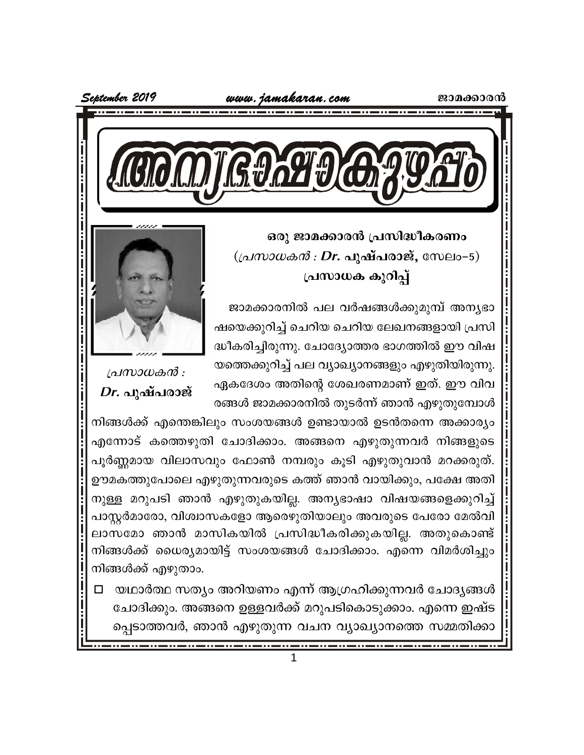

ഒരു ജാമക്കാരൻ പ്രസിദ്ധീകരണം  $((\alpha\mathcal{U}\alpha\mathcal{U}\alpha\mathcal{U}\alpha\mathcal{U}\alpha\mathcal{U}\alpha\mathbf{I})\alpha\mathbf{I}\alpha\mathbf{I}\alpha\alpha\mathbf{I}\alpha\mathbf{I}\alpha\mathbf{I})$ പ്രസാധക കുറിപ്പ്

ജാമക്കാരനിൽ പല വർഷങ്ങൾക്കുമുമ്പ് അന്യഭാ ഷയെക്കുറിച്ച് ചെറിയ ചെറിയ ലേഖനങ്ങളായി പ്രസി ദ്ധീകരിച്ചിരുന്നു. ചോദ്യോത്തര ഭാഗത്തിൽ ഈ വിഷ യത്തെക്കുറിച്ച് പല വ്യാഖ്യാനങ്ങളും എഴുതിയിരുന്നു. ഏകദേശം അതിന്റെ ശേഖരണമാണ് ഇത്. ഈ വിവ രങ്ങൾ ജാമക്കാരനിൽ തുടർന്ന് ഞാൻ എഴുതുമ്പോൾ



പ്രസാധകൻ : *Dr.* പുഷ്പരാജ്

നിങ്ങൾക്ക് എന്തെങ്കിലും സംശയങ്ങൾ ഉണ്ടായാൽ ഉടൻതന്നെ അക്കാര്യം എന്നോട് കത്തെഴുതി ചോദിക്കാം. അങ്ങനെ എഴുതുന്നവർ നിങ്ങളുടെ പൂർണ്ണമായ വിലാസവും ഫോൺ നമ്പരും കൂടി എഴുതുവാൻ മറക്കരുത്. ഊമകത്തുപോലെ എഴുതുന്നവരുടെ കത്ത് ഞാൻ വായിക്കും, പക്ഷേ അതി നുള്ള മറുപടി ഞാൻ എഴുതുകയില്ല. അന്യഭാഷാ വിഷയങ്ങളെക്കുറിച്ച് പാസ്റ്റർമാരോ, വിശ്വാസകളോ ആരെഴുതിയാലും അവരുടെ പേരോ മേൽവി ലാസമോ ഞാൻ മാസികയിൽ പ്രസിദ്ധീകരിക്കുകയില്ല. അതുകൊണ്ട് നിങ്ങൾക്ക് ധൈര്യമായിട്ട് സംശയങ്ങൾ ചോദിക്കാം. എന്നെ വിമർശിച്ചും നിങ്ങൾക്ക് എഴുതാം.

□ യഥാർത്ഥ സത്യം അറിയണം എന്ന് ആഗ്രഹിക്കുന്നവർ ചോദ്യങ്ങൾ ചോദിക്കും. അങ്ങനെ ഉളളവർക്ക് മറുപടികൊടുക്കാം. എന്നെ ഇഷ്ട പ്പെടാത്തവർ, ഞാൻ എഴുതുന്ന വചന വ്യാഖ്യാനത്തെ സമ്മതിക്കാ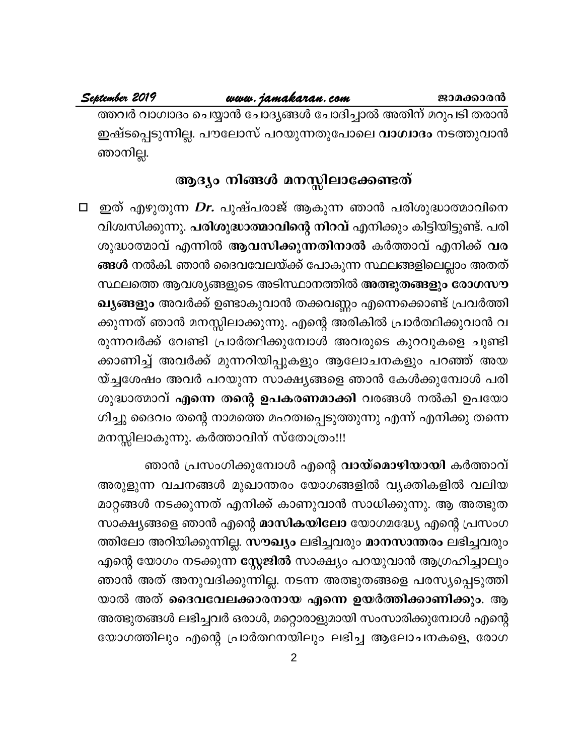# www.jamakaran.com

ത്തവർ വാഗ്വാദം ചെയ്യാൻ ചോദ്യങ്ങൾ ചോദിച്ചാൽ അതിന് മറുപടി തരാൻ ഇഷ്ടപ്പെടുന്നില്ല. പൗലോസ് പറയുന്നതുപോലെ **വാഗ്വാദം** നടത്തുവാൻ ഞാനില്ല.

# ആദ്യം നിങ്ങൾ മനസ്സിലാക്കേണ്ടത്

്തുത് എഴുതുന്ന *Dr*. പുഷ്പരാജ് ആകുന്ന ഞാൻ പരിശുദ്ധാത്മാവിനെ  $\Box$ വിശ്വസിക്കുന്നു. പരിശുദ്ധാത്മാവിന്റെ നിറവ് എനിക്കും കിട്ടിയിട്ടുണ്ട്. പരി ശുദ്ധാത്മാവ് എന്നിൽ ആവസിക്കുന്നതിനാൽ കർത്താവ് എനിക്ക് വര ങ്ങൾ നൽകി. ഞാൻ ദൈവവേലയ്ക്ക് പോകുന്ന സ്ഥലങ്ങളിലെല്ലാം അതത് സ്ഥലത്തെ ആവശ്യങ്ങളുടെ അടിസ്ഥാനത്തിൽ അത്ഭുതങ്ങളും രോഗസൗ ഖ്യങ്ങളും അവർക്ക് ഉണ്ടാകുവാൻ തക്കവണ്ണം എന്നെക്കൊണ്ട് പ്രവർത്തി ക്കുന്നത് ഞാൻ മനസ്സിലാക്കുന്നു. എന്റെ അരികിൽ പ്രാർത്ഥിക്കുവാൻ വ രുന്നവർക്ക് വേണ്ടി പ്രാർത്ഥിക്കുമ്പോൾ അവരുടെ കുറവുകളെ ചൂണ്ടി ക്കാണിച്ച് അവർക്ക് മുന്നറിയിപ്പുകളും ആലോചനകളും പറഞ്ഞ് അയ യ്ച്ചശേഷം അവർ പറയുന്ന സാക്ഷ്യങ്ങളെ ഞാൻ കേൾക്കുമ്പോൾ പരി ശുദ്ധാത്മാവ് എന്നെ തന്റെ ഉപകരണമാക്കി വരങ്ങൾ നൽകി ഉപയോ ഗിച്ചു ദൈവം തന്റെ നാമത്തെ മഹത്വപ്പെടുത്തുന്നു എന്ന് എനിക്കു തന്നെ മനസ്സിലാകുന്നു. കർത്താവിന് സ്തോത്രം!!!

ഞാൻ പ്രസംഗിക്കുമ്പോൾ എന്റെ **വായ്മൊഴിയായി** കർത്താവ് അരുളുന്ന വചനങ്ങൾ മുഖാന്തരം യോഗങ്ങളിൽ വ്യക്തികളിൽ വലിയ മാറ്റങ്ങൾ നടക്കുന്നത് എനിക്ക് കാണുവാൻ സാധിക്കുന്നു. ആ അത്ഭുത സാക്ഷ്യങ്ങളെ ഞാൻ എന്റെ മാസികയിലോ യോഗമദ്ധ്യേ എന്റെ പ്രസംഗ ത്തിലോ അറിയിക്കുന്നില്ല. സൗഖ്യം ലഭിച്ചവരും മാനസാന്തരം ലഭിച്ചവരും എന്റെ യോഗം നടക്കുന്ന സ്റ്റേജിൽ സാക്ഷ്യം പറയുവാൻ ആഗ്രഹിച്ചാലും ഞാൻ അത് അനുവദിക്കുന്നില്ല. നടന്ന അത്ഭുതങ്ങളെ പരസ്യപ്പെടുത്തി യാൽ അത് ദൈവവേലക്കാരനായ എന്നെ ഉയർത്തിക്കാണിക്കും. ആ അത്ഭുതങ്ങൾ ലഭിച്ചവർ ഒരാൾ, മറ്റൊരാളുമായി സംസാരിക്കുമ്പോൾ എന്റെ യോഗത്തിലും എന്റെ പ്രാർത്ഥനയിലും ലഭിച്ച ആലോചനകളെ, രോഗ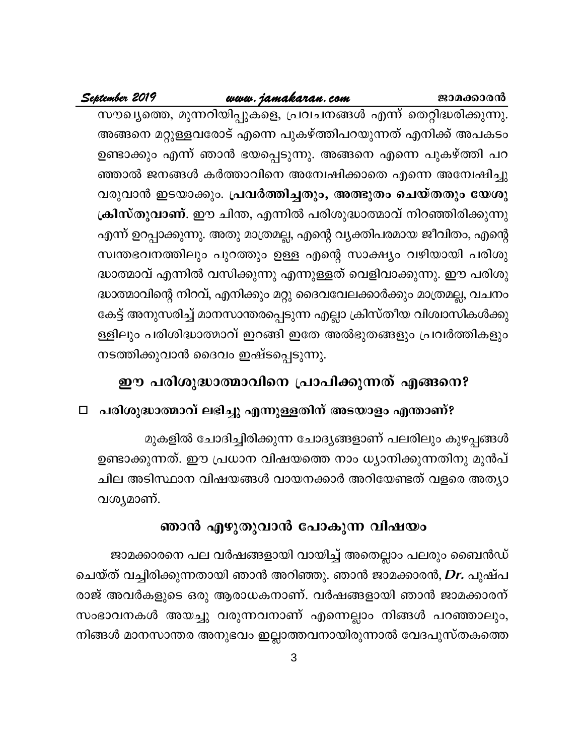# www.jamakaran.com

September 2019

സൗഖ്യത്തെ, മുന്നറിയിപ്പുകളെ, പ്രവചനങ്ങൾ എന്ന് തെറ്റിദ്ധരിക്കുന്നു. അങ്ങനെ മറ്റുള്ളവരോട് എന്നെ പുകഴ്ത്തിപറയുന്നത് എനിക്ക് അപകടം ഉണ്ടാക്കും എന്ന് ഞാൻ ഭയപ്പെടുന്നു. അങ്ങനെ എന്നെ പുകഴ്ത്തി പറ ഞ്ഞാൽ ജനങ്ങൾ കർത്താവിനെ അന്വേഷിക്കാതെ എന്നെ അന്വേഷിച്ചു വരുവാൻ ഇടയാക്കും. പ്രവർത്തിച്ചതും, അത്ഭുതം ചെയ്തതും യേശു ക്രിസ്തുവാണ്. ഈ ചിന്ത, എന്നിൽ പരിശുദ്ധാത്മാവ് നിറഞ്ഞിരിക്കുന്നു എന്ന് ഉറപ്പാക്കുന്നു. അതു മാത്രമല്ല, എന്റെ വ്യക്തിപരമായ ജീവിതം, എന്റെ സ്വന്തഭവനത്തിലും പുറത്തും ഉള്ള എന്റെ സാക്ഷ്യം വഴിയായി പരിശു ദ്ധാത്മാവ് എന്നിൽ വസിക്കുന്നു എന്നുള്ളത് വെളിവാക്കുന്നു. ഈ പരിശു ദ്ധാത്മാവിന്റെ നിറവ്, എനിക്കും മറ്റു ദൈവവേലക്കാർക്കും മാത്രമല്ല, വചനം കേട്ട് അനുസരിച്ച് മാനസാന്തരപ്പെടുന്ന എല്ലാ ക്രിസ്തീയ വിശ്വാസികൾക്കു ള്ളിലും പരിശിദ്ധാത്മാവ് ഇറങ്ങി ഇതേ അൽഭുതങ്ങളും പ്രവർത്തികളും നടത്തിക്കുവാൻ ദൈവം ഇഷ്ടപ്പെടുന്നു.

# ഈ പരിശുദ്ധാത്മാവിനെ പ്രാപിക്കുന്നത് എങ്ങനെ?

# □ പരിശുദ്ധാത്മാവ് ലഭിച്ചു എന്നുള്ളതിന് അടയാളം എന്താണ്?

മുകളിൽ ചോദിച്ചിരിക്കുന്ന ചോദ്യങ്ങളാണ് പലരിലും കുഴപ്പങ്ങൾ ഉണ്ടാക്കുന്നത്. ഈ പ്രധാന വിഷയത്തെ നാം ധ്യാനിക്കുന്നതിനു മുൻപ് ചില അടിസ്ഥാന വിഷയങ്ങൾ വായനക്കാർ അറിയേണ്ടത് വളരെ അത്യാ വശ്യമാണ്.

# ഞാൻ എഴുതുവാൻ പോകുന്ന വിഷയം

ജാമക്കാരനെ പല വർഷങ്ങളായി വായിച്ച് അതെല്ലാം പലരും ബൈൻഡ് ചെയ്ത് വച്ചിരിക്കുന്നതായി ഞാൻ അറിഞ്ഞു. ഞാൻ ജാമക്കാരൻ, Dr. പുഷ്പ രാജ് അവർകളുടെ ഒരു ആരാധകനാണ്. വർഷങ്ങളായി ഞാൻ ജാമക്കാരന് സംഭാവനകൾ അയച്ചു വരുന്നവനാണ് എന്നെല്ലാം നിങ്ങൾ പറഞ്ഞാലും, നിങ്ങൾ മാനസാന്തര അനുഭവം ഇല്ലാത്തവനായിരുന്നാൽ വേദപുസ്തകത്തെ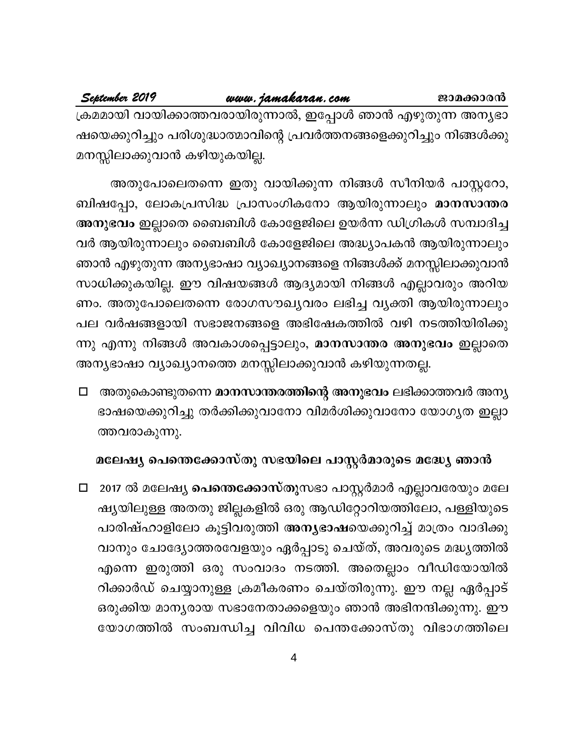September 2019

ക്രമമായി വായിക്കാത്തവരായിരുന്നാൽ, ഇപ്പോൾ ഞാൻ എഴുതുന്ന അനൃഭാ ഷയെക്കുറിച്ചും പരിശുദ്ധാത്മാവിന്റെ പ്രവർത്തനങ്ങളെക്കുറിച്ചും നിങ്ങൾക്കു മനസ്സിലാക്കുവാൻ കഴിയുകയില്ല.

അതുപോലെതന്നെ ഇതു വായിക്കുന്ന നിങ്ങൾ സീനിയർ പാസ്റ്ററോ, ബിഷപ്പോ, ലോകപ്രസിദ്ധ പ്രാസംഗികനോ ആയിരുന്നാലും മാനസാന്തര അനുഭവം ഇല്ലാതെ ബൈബിൾ കോളേജിലെ ഉയർന്ന ഡിഗ്രികൾ സമ്പാദിച്ച വർ ആയിരുന്നാലും ബൈബിൾ കോളേജിലെ അദ്ധ്യാപകൻ ആയിരുന്നാലും ഞാൻ എഴുതുന്ന അന്യഭാഷാ വ്യാഖ്യാനങ്ങളെ നിങ്ങൾക്ക് മനസ്സിലാക്കുവാൻ സാധിക്കുകയില്ല. ഈ വിഷയങ്ങൾ ആദ്യമായി നിങ്ങൾ എല്ലാവരും അറിയ ണം. അതുപോലെതന്നെ രോഗസൗഖ്യവരം ലഭിച്ച വ്യക്തി ആയിരുന്നാലും പല വർഷങ്ങളായി സഭാജനങ്ങളെ അഭിഷേകത്തിൽ വഴി നടത്തിയിരിക്കു ന്നു എന്നു നിങ്ങൾ അവകാശപ്പെട്ടാലും, മാനസാന്തര അനുഭവം ഇല്ലാതെ അന്യഭാഷാ വ്യാഖ്യാനത്തെ മനസ്സിലാക്കുവാൻ കഴിയുന്നതല്ല.

□ അതുകൊണ്ടുതന്നെ മാനസാന്തരത്തിന്റെ അനുഭവം ലഭിക്കാത്തവർ അന്യ ഭാഷയെക്കുറിച്ചു തർക്കിക്കുവാനോ വിമർശിക്കുവാനോ യോഗൃത ഇല്ലാ ത്തവരാകുന്നു.

# മലേഷ്യ പെന്തെക്കോസ്തു സഭയിലെ പാസ്റ്റർമാരുടെ മദ്ധ്യേ ഞാൻ

□ 2017 ൽ മലേഷ്യ **പെന്തെക്കോസ്തു**സഭാ പാസ്റ്റർമാർ എല്ലാവരേയും മലേ ഷ്യയിലുള്ള അതതു ജില്ലകളിൽ ഒരു ആഡിറ്റോറിയത്തിലോ, പള്ളിയുടെ പാരിഷ്ഹാളിലോ കൂട്ടിവരുത്തി അനൃഭാഷയെക്കുറിച്ച് മാത്രം വാദിക്കു വാനും ചോദ്യോത്തരവേളയും ഏർപ്പാടു ചെയ്ത്, അവരുടെ മദ്ധ്യത്തിൽ എന്നെ ഇരുത്തി ഒരു സംവാദം നടത്തി. അതെല്ലാം വീഡിയോയിൽ റിക്കാർഡ് ചെയ്യാനുള്ള ക്രമീകരണം ചെയ്തിരുന്നു. ഈ നല്ല ഏർപ്പാട് ഒരുക്കിയ മാന്യരായ സഭാനേതാക്കളെയും ഞാൻ അഭിനന്ദിക്കുന്നു. ഈ യോഗത്തിൽ സംബന്ധിച്ച വിവിധ പെന്തക്കോസ്തു വിഭാഗത്തിലെ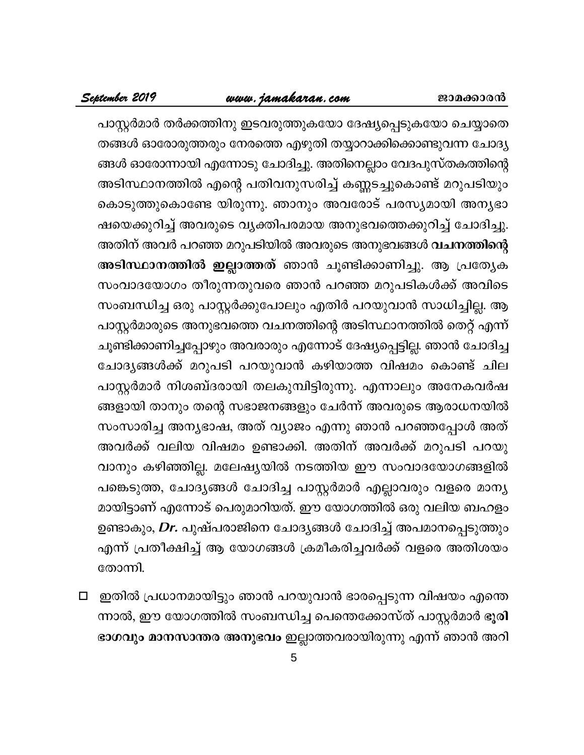# www.jamakaran.com

പാസ്റ്റർമാർ തർക്കത്തിനു ഇടവരുത്തുകയോ ദേഷ്യപ്പെടുകയോ ചെയ്യാതെ തങ്ങൾ ഓരോരുത്തരും നേരത്തെ എഴുതി തയ്യാറാക്കിക്കൊണ്ടുവന്ന ചോദ്യ ങ്ങൾ ഓരോന്നായി എന്നോടു ചോദിച്ചു. അതിനെല്ലാം വേദപുസ്തകത്തിന്റെ അടിസ്ഥാനത്തിൽ എന്റെ പതിവനുസരിച്ച് കണ്ണടച്ചുകൊണ്ട് മറുപടിയും കൊടുത്തുകൊണ്ടേ യിരുന്നു. ഞാനും അവരോട് പരസ്യമായി അന്യഭാ ഷയെക്കുറിച്ച് അവരുടെ വ്യക്തിപരമായ അനുഭവത്തെക്കുറിച്ച് ചോദിച്ചു. അതിന് അവർ പറഞ്ഞ മറുപടിയിൽ അവരുടെ അനുഭവങ്ങൾ <mark>വചനത്തിന്റെ</mark> അടിസ്ഥാനത്തിൽ ഇല്ലാത്തത് ഞാൻ ചൂണ്ടിക്കാണിച്ചു. ആ പ്രത്യേക സംവാദയോഗം തീരുന്നതുവരെ ഞാൻ പറഞ്ഞ മറുപടികൾക്ക് അവിടെ സംബന്ധിച്ച ഒരു പാസ്റ്റർക്കുപോലും എതിർ പറയുവാൻ സാധിച്ചില്ല. ആ പാസ്റ്റർമാരുടെ അനുഭവത്തെ വചനത്തിന്റെ അടിസ്ഥാനത്തിൽ തെറ്റ് എന്ന് ചൂണ്ടിക്കാണിച്ചപ്പോഴും അവരാരും എന്നോട് ദേഷ്യപ്പെട്ടില്ല. ഞാൻ ചോദിച്ച ചോദ്യങ്ങൾക്ക് മറുപടി പറയുവാൻ കഴിയാത്ത വിഷമം കൊണ്ട് ചില പാസ്റ്റർമാർ നിശബ്ദരായി തലകുമ്പിട്ടിരുന്നു. എന്നാലും അനേകവർഷ ങ്ങളായി താനും തന്റെ സഭാജനങ്ങളും ചേർന്ന് അവരുടെ ആരാധനയിൽ സംസാരിച്ച അന്യഭാഷ, അത് വ്യാജം എന്നു ഞാൻ പറഞ്ഞപ്പോൾ അത് അവർക്ക് വലിയ വിഷമം ഉണ്ടാക്കി. അതിന് അവർക്ക് മറുപടി പറയു വാനും കഴിഞ്ഞില്ല. മലേഷ്യയിൽ നടത്തിയ ഈ സംവാദയോഗങ്ങളിൽ പങ്കെടുത്ത, ചോദ്യങ്ങൾ ചോദിച്ച പാസ്റ്റർമാർ എല്ലാവരും വളരെ മാന്യ മായിട്ടാണ് എന്നോട് പെരുമാറിയത്. ഈ യോഗത്തിൽ ഒരു വലിയ ബഹളം ഉണ്ടാകും, *Dr*. പുഷ്പരാജിനെ ചോദ്യങ്ങൾ ചോദിച്ച് അപമാനപ്പെടുത്തും എന്ന് പ്രതീക്ഷിച്ച് ആ യോഗങ്ങൾ ക്രമീകരിച്ചവർക്ക് വളരെ അതിശയം തോന്നി.

ഇതിൽ പ്രധാനമായിട്ടും ഞാൻ പറയുവാൻ ഭാരപ്പെടുന്ന വിഷയം എന്തെ  $\Box$ ന്നാൽ, ഈ യോഗത്തിൽ സംബന്ധിച്ച പെന്തെക്കോസ്ത് പാസ്റ്റർമാർ ഭൂ<mark>രി</mark> ഭാഗവും മാനസാന്തര അനുഭവം ഇല്ലാത്തവരായിരുന്നു എന്ന് ഞാൻ അറി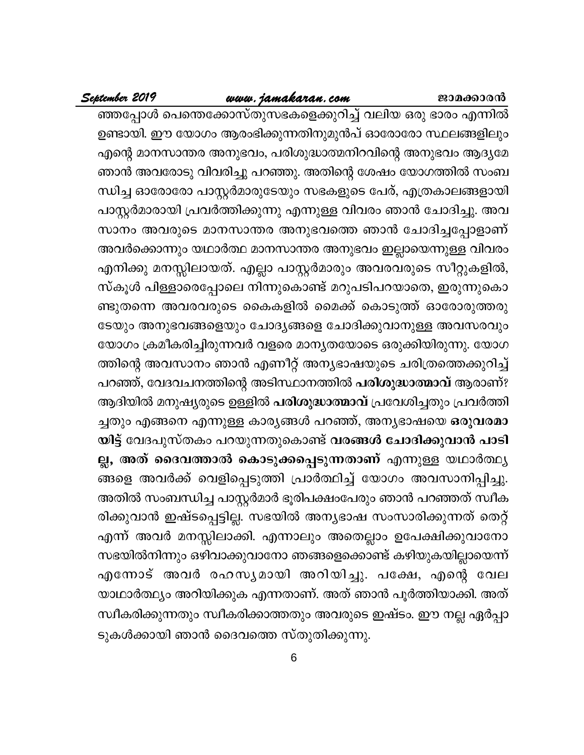# www.jamakaran.com

# September 2019

ഞ്ഞപ്പോൾ പെന്തെക്കോസ്തുസഭകളെക്കുറിച്ച് വലിയ ഒരു ഭാരം എന്നിൽ ഉണ്ടായി. ഈ യോഗം ആരംഭിക്കുന്നതിനുമുൻപ് ഓരോരോ സ്ഥലങ്ങളിലും എന്റെ മാനസാന്തര അനുഭവം, പരിശുദ്ധാത്മനിറവിന്റെ അനുഭവം ആദ്യമേ ഞാൻ അവരോടു വിവരിച്ചു പറഞ്ഞു. അതിന്റെ ശേഷം യോഗത്തിൽ സംബ ന്ധിച്ച ഓരോരോ പാസ്റ്റർമാരുടേയും സഭകളുടെ പേര്, എത്രകാലങ്ങളായി പാസ്റ്റർമാരായി പ്രവർത്തിക്കുന്നു എന്നുള്ള വിവരം ഞാൻ ചോദിച്ചു. അവ സാനം അവരുടെ മാനസാന്തര അനുഭവത്തെ ഞാൻ ചോദിച്ചപ്പോളാണ് അവർക്കൊന്നും യഥാർത്ഥ മാനസാന്തര അനുഭവം ഇല്ലായെന്നുള്ള വിവരം എനിക്കു മനസ്സിലായത്. എല്ലാ പാസ്റ്റർമാരും അവരവരുടെ സീറ്റുകളിൽ, സ്കൂൾ പിള്ളാരെപ്പോലെ നിന്നുകൊണ്ട് മറുപടിപറയാതെ, ഇരുന്നുകൊ ണ്ടുതന്നെ അവരവരുടെ കൈകളിൽ മൈക്ക് കൊടുത്ത് ഓരോരുത്തരു ടേയും അനുഭവങ്ങളെയും ചോദ്യങ്ങളെ ചോദിക്കുവാനുള്ള അവസരവും യോഗം ക്രമീകരിച്ചിരുന്നവർ വളരെ മാനൃതയോടെ ഒരുക്കിയിരുന്നു. യോഗ ത്തിന്റെ അവസാനം ഞാൻ എണീറ്റ് അന്യഭാഷയുടെ ചരിത്രത്തെക്കുറിച്ച് പറഞ്ഞ്, വേദവചനത്തിന്റെ അടിസ്ഥാനത്തിൽ പരിശുദ്ധാത്മാവ് ആരാണ്? ആദിയിൽ മനുഷ്യരുടെ ഉള്ളിൽ **പരിശുദ്ധാത്മാവ്** പ്രവേശിച്ചതും പ്രവർത്തി ച്ചതും എങ്ങനെ എന്നുള്ള കാര്യങ്ങൾ പറഞ്ഞ്, അന്യഭാഷയെ ഒരുവരമാ യിട്ട് വേദപുസ്തകം പറയുന്നതുകൊണ്ട് വരങ്ങൾ ചോദിക്കുവാൻ പാടി ല്ല, അത് ദൈവത്താൽ കൊടുക്കപ്പെടുന്നതാണ് എന്നുള്ള യഥാർത്ഥ്യ ങ്ങളെ അവർക്ക് വെളിപ്പെടുത്തി പ്രാർത്ഥിച്ച് യോഗം അവസാനിപ്പിച്ചു. അതിൽ സംബന്ധിച്ച പാസ്റ്റർമാർ ഭൂരിപക്ഷംപേരും ഞാൻ പറഞ്ഞത് സ്വീക രിക്കുവാൻ ഇഷ്ടപ്പെട്ടില്ല. സഭയിൽ അന്യഭാഷ സംസാരിക്കുന്നത് തെറ്റ് എന്ന് അവർ മനസ്സിലാക്കി. എന്നാലും അതെല്ലാം ഉപേക്ഷിക്കുവാനോ സഭയിൽനിന്നും ഒഴിവാക്കുവാനോ ഞങ്ങളെക്കൊണ്ട് കഴിയുകയില്ലായെന്ന് എന്നോട് അവർ രഹസൃമായി അറിയിച്ചു. പക്ഷേ, എന്റെ വേല യാഥാർത്ഥ്യം അറിയിക്കുക എന്നതാണ്. അത് ഞാൻ പൂർത്തിയാക്കി. അത് സ്ഥീകരിക്കുന്നതും സ്ഥീകരിക്കാത്തതും അവരുടെ ഇഷ്ടം. ഈ നല്ല ഏർപ്പാ ടുകൾക്കായി ഞാൻ ദൈവത്തെ സ്തുതിക്കുന്നു.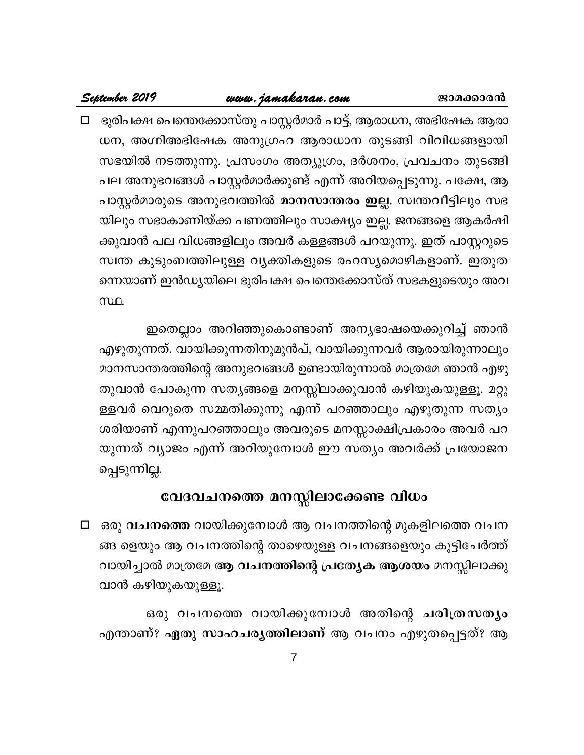# <u>www.jamakaran.com</u>

September 2019

ജാമക്കാരൻ

□ ഭൂരിപക്ഷ പെന്തെക്കോസ്തു പാസ്റ്റർമാർ പാട്ട്, ആരാധന, അഭിഷേക ആരാ ധന, അഗ്നിഅഭിഷേക അനുഗ്രഹ ആരാധാന തുടങ്ങി വിവിധങ്ങളായി സഭയിൽ നടത്തുന്നു. പ്രസംഗം അത്യുഗ്രം, ദർശനം, പ്രവചനം തുടങ്ങി പല അനുഭവങ്ങൾ പാസ്റ്റർമാർക്കുണ്ട് എന്ന് അറിയപ്പെടുന്നു. പക്ഷേ, ആ പാസ്റ്റർമാരുടെ അനുഭവത്തിൽ **മാനസാന്തരം ഇല്ല**. സ്വന്തവീട്ടിലും സഭ യിലും സഭാകാണിയ്ക്ക പണത്തിലും സാക്ഷ്യം ഇല്ല. ജനങ്ങളെ ആകർഷി ക്കുവാൻ പല വിധങ്ങളിലും അവർ കള്ളങ്ങൾ പറയുന്നു. ഇത് പാസ്റ്ററുടെ സ്വന്ത കുടുംബത്തിലുള്ള വൃക്തികളുടെ രഹസ്യമൊഴികളാണ്. ഇതുത ന്നെയാണ് ഇൻഡ്യയിലെ ഭൂരിപക്ഷ പെന്തെക്കോസ്ത് സഭകളുടെയും അവ സ്ഥ.

ഇതെല്ലാം അറിഞ്ഞുകൊണ്ടാണ് അന്യഭാഷയെക്കുറിച്ച് ഞാൻ എഴുതുന്നത്. വായിക്കുന്നതിനുമുൻപ്, വായിക്കുന്നവർ ആരായിരുന്നാലും മാനസാന്തരത്തിന്റെ അനുഭവങ്ങൾ ഉണ്ടായിരുന്നാൽ മാത്രമേ ഞാൻ എഴു തുവാൻ പോകുന്ന സത്യങ്ങളെ മനസ്സിലാക്കുവാൻ കഴിയുകയുള്ളൂ. മറ്റു ള്ളവർ വെറുതെ സമ്മതിക്കുന്നു എന്ന് പറഞ്ഞാലും എഴുതുന്ന സത്യം ശരിയാണ് എന്നുപറഞ്ഞാലും അവരുടെ മനസ്സാക്ഷിപ്രകാരം അവർ പറ യുന്നത് വ്യാജം എന്ന് അറിയുമ്പോൾ ഈ സത്യം അവർക്ക് പ്രയോജന പ്പെടുന്നില്ല.

# വേദവചനത്തെ മനസ്സിലാക്കേണ്ട വിധം

□ ഒരു വചനത്തെ വായിക്കുമ്പോൾ ആ വചനത്തിന്റെ മുകളിലത്തെ വചന ങ്ങ ളെയും ആ വചനത്തിന്റെ താഴെയുള്ള വചനങ്ങളെയും കൂട്ടിചേർത്ത് വായിച്ചാൽ മാത്രമേ ആ വചനത്തിന്റെ പ്രത്യേക ആശയം മനസ്സിലാക്കു വാൻ കഴിയുകയുള്ളൂ.

ഒരു വചനത്തെ വായിക്കുമ്പോൾ അതിന്റെ ചരിത്രസത്യം എന്താണ്? ഏതു സാഹചര്യത്തിലാണ് ആ വചനം എഴുതപ്പെട്ടത്? ആ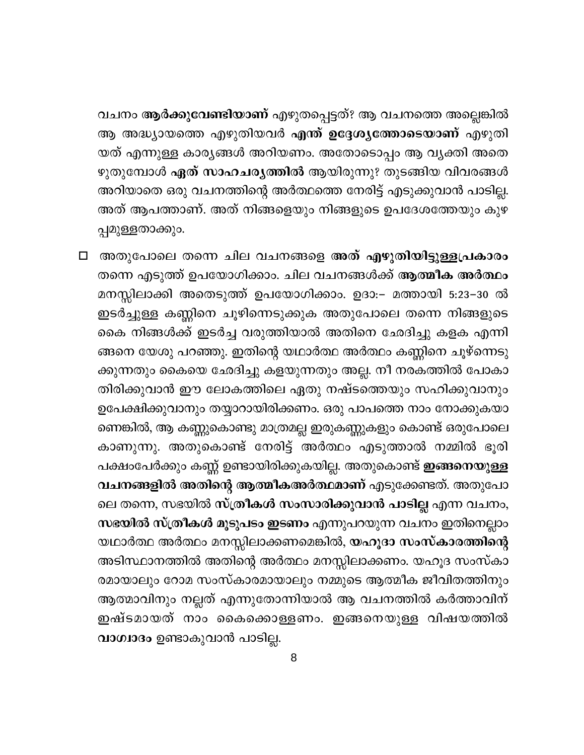വചനം ആർക്കുവേണ്ടിയാണ് എഴുതപ്പെട്ടത്? ആ വചനത്തെ അല്ലെങ്കിൽ ആ അദ്ധ്യായത്തെ എഴുതിയവർ <mark>എന്ത് ഉദ്ദേശ്യത്തോടെയാണ്</mark> എഴുതി യത് എന്നുള്ള കാര്യങ്ങൾ അറിയണം. അതോടൊപ്പം ആ വ്യക്തി അതെ ഴുതുമ്പോൾ ഏത് സാഹചര്യത്തിൽ ആയിരുന്നു? തുടങ്ങിയ വിവരങ്ങൾ അറിയാതെ ഒരു വചനത്തിന്റെ അർത്ഥത്തെ നേരിട്ട് എടുക്കുവാൻ പാടില്ല. അത് ആപത്താണ്. അത് നിങ്ങളെയും നിങ്ങളുടെ ഉപദേശത്തേയും കുഴ പ്പമുള്ളതാക്കും.

□ അതുപോലെ തന്നെ ചില വചനങ്ങളെ അത് എഴുതിയിട്ടുള്ളപ്രകാരം തന്നെ എടുത്ത് ഉപയോഗിക്കാം. ചില വചനങ്ങൾക്ക് **ആത്മീക അർത്ഥം** മനസ്സിലാക്കി അതെടുത്ത് ഉപയോഗിക്കാം. ഉദാ:– മത്തായി 5:23–30 ൽ ഇടർച്ചുള്ള കണ്ണിനെ ചൂഴിന്നെടുക്കുക അതുപോലെ തന്നെ നിങ്ങളുടെ കൈ നിങ്ങൾക്ക് ഇടർച്ച വരുത്തിയാൽ അതിനെ ഛേദിച്ചു കളക എന്നി ങ്ങനെ യേശു പറഞ്ഞു. ഇതിന്റെ യഥാർത്ഥ അർത്ഥം കണ്ണിനെ ചൂഴ്ന്നെടു ക്കുന്നതും കൈയെ ഛേദിച്ചു കളയുന്നതും അല്ല. നീ നരകത്തിൽ പോകാ തിരിക്കുവാൻ ഈ ലോകത്തിലെ ഏതു നഷ്ടത്തെയും സഹിക്കുവാനും ഉപേക്ഷിക്കുവാനും തയ്യാറായിരിക്കണം. ഒരു പാപത്തെ നാം നോക്കുകയാ ണെങ്കിൽ, ആ കണ്ണുകൊണ്ടു മാത്രമല്ല ഇരുകണ്ണുകളും കൊണ്ട് ഒരുപോലെ കാണുന്നു. അതുകൊണ്ട് നേരിട്ട് അർത്ഥം എടുത്താൽ നമ്മിൽ ഭൂരി പക്ഷംപേർക്കും കണ്ണ് ഉണ്ടായിരിക്കുകയില്ല. അതുകൊണ്ട് **ഇങ്ങനെയുള്ള** വചനങ്ങളിൽ അതിന്റെ ആത്മീകഅർത്ഥമാണ് എടുക്കേണ്ടത്. അതുപോ ലെ തന്നെ, സഭയിൽ സ്ത്രീകൾ സംസാരിക്കുവാൻ പാടില്ല എന്ന വചനം, സഭയിൽ സ്ത്രീകൾ മൂടുപടം ഇടണം എന്നുപറയുന്ന വചനം ഇതിനെല്ലാം യഥാർത്ഥ അർത്ഥം മനസ്സിലാക്കണമെങ്കിൽ, **യഹൂദാ സംസ്കാരത്തിന്റെ** അടിസ്ഥാനത്തിൽ അതിന്റെ അർത്ഥം മനസ്സിലാക്കണം. യഹൂദ സംസ്കാ രമായാലും റോമ സംസ്കാരമായാലും നമ്മുടെ ആത്മീക ജീവിതത്തിനും ആത്മാവിനും നല്ലത് എന്നുതോന്നിയാൽ ആ വചനത്തിൽ കർത്താവിന് ഇഷ്ടമായത് നാം കൈക്കൊള്ളണം. ഇങ്ങനെയുള്ള വിഷയത്തിൽ വാഗ്വാദം ഉണ്ടാകുവാൻ പാടില്ല.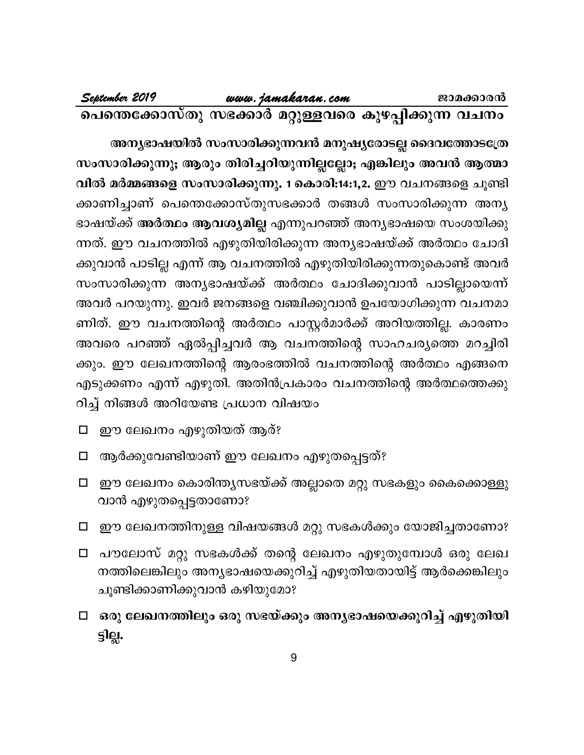അന്യഭാഷയിൽ സംസാരിക്കുന്നവൻ മനുഷ്യരോടല്ല ദൈവത്തോടത്രേ സംസാരിക്കുന്നു; ആരും തിരിച്ചറിയുന്നില്ലല്ലോ; എങ്കിലും അവൻ ആത്മാ വിൽ മർമ്മങ്ങളെ സംസാരിക്കുന്നു. 1 കൊരി:14:1,2. ഈ വചനങ്ങളെ ചൂണ്ടി ക്കാണിച്ചാണ് പെന്തെക്കോസ്തുസഭക്കാർ തങ്ങൾ സംസാരിക്കുന്ന അന്യ ഭാഷയ്ക്ക് <mark>അർത്ഥം ആവശ്യമില്ല</mark> എന്നുപറഞ്ഞ് അന്യഭാഷയെ സംശയിക്കു ന്നത്. ഈ വചനത്തിൽ എഴുതിയിരിക്കുന്ന അന്യഭാഷയ്ക്ക് അർത്ഥം ചോദി ക്കുവാൻ പാടില്ല എന്ന് ആ വചനത്തിൽ എഴുതിയിരിക്കുന്നതുകൊണ്ട് അവർ സംസാരിക്കുന്ന അന്യഭാഷയ്ക്ക് അർത്ഥം ചോദിക്കുവാൻ പാടില്ലായെന്ന് അവർ പറയുന്നു. ഇവർ ജനങ്ങളെ വഞ്ചിക്കുവാൻ ഉപയോഗിക്കുന്ന വചനമാ ണിത്. ഈ വചനത്തിന്റെ അർത്ഥം പാസ്റ്റർമാർക്ക് അറിയത്തില്ല. കാരണം അവരെ പറഞ്ഞ് ഏൽപ്പിച്ചവർ ആ വചനത്തിന്റെ സാഹചര്യത്തെ മറച്ചിരി ക്കും. ഈ ലേഖനത്തിന്റെ ആരംഭത്തിൽ വചനത്തിന്റെ അർത്ഥം എങ്ങനെ എടുക്കണം എന്ന് എഴുതി. അതിൻപ്രകാരം വചനത്തിന്റെ അർത്ഥത്തെക്കു റിച്ച് നിങ്ങൾ അറിയേണ്ട പ്രധാന വിഷയം

- ഈ ലേഖനം എഴുതിയത് ആര്?  $\Box$
- ആർക്കുവേണ്ടിയാണ് ഈ ലേഖനം എഴുതപ്പെട്ടത്?  $\Box$
- ഈ ലേഖനം കൊരിന്ത്യസഭയ്ക്ക് അല്ലാതെ മറ്റു സഭകളും കൈക്കൊള്ളു  $\Box$ വാൻ എഴുതപ്പെട്ടതാണോ?
- ഈ ലേഖനത്തിനുള്ള വിഷയങ്ങൾ മറ്റു സഭകൾക്കും യോജിച്ചതാണോ?  $\Box$
- പൗലോസ് മറ്റു സഭകൾക്ക് തന്റെ ലേഖനം എഴുതുമ്പോൾ ഒരു ലേഖ  $\Box$ നത്തിലെങ്കിലും അന്യഭാഷയെക്കുറിച്ച് എഴുതിയതായിട്ട് ആർക്കെങ്കിലും ചൂണ്ടിക്കാണിക്കുവാൻ കഴിയുമോ?
- □ ഒരു ലേഖനത്തിലും ഒരു സഭയ്ക്കും അനൃഭാഷയെക്കുറിച്ച് എഴുതിയി <u>ခ္ခါမ္</u>မ.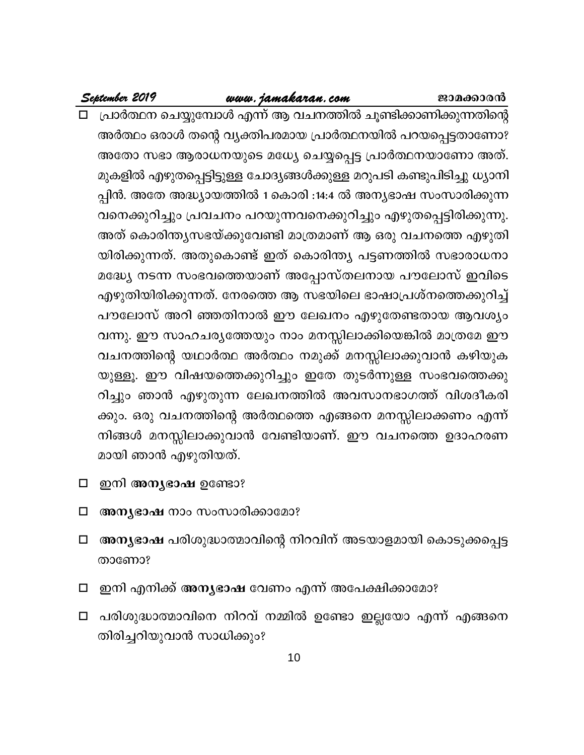# www.jamakaran.com

ജാമക്കാരൻ

September 2019

- പ്രാർത്ഥന ചെയ്യുമ്പോൾ എന്ന് ആ വചനത്തിൽ ചൂണ്ടിക്കാണിക്കുന്നതിന്റെ അർത്ഥം ഒരാൾ തന്റെ വ്യക്തിപരമായ പ്രാർത്ഥനയിൽ പറയപ്പെട്ടതാണോ? അതോ സഭാ ആരാധനയുടെ മധ്യേ ചെയ്യപ്പെട്ട പ്രാർത്ഥനയാണോ അത്. മുകളിൽ എഴുതപ്പെട്ടിട്ടുള്ള ചോദ്യങ്ങൾക്കുള്ള മറുപടി കണ്ടുപിടിച്ചു ധ്യാനി പ്പിൻ. അതേ അദ്ധ്യായത്തിൽ 1 കൊരി :14:4 ൽ അന്യഭാഷ സംസാരിക്കുന്ന വനെക്കുറിച്ചും പ്രവചനം പറയുന്നവനെക്കുറിച്ചും എഴുതപ്പെട്ടിരിക്കുന്നു. അത് കൊരിന്ത്യസഭയ്ക്കുവേണ്ടി മാത്രമാണ് ആ ഒരു വചനത്തെ എഴുതി യിരിക്കുന്നത്. അതുകൊണ്ട് ഇത് കൊരിന്ത്യ പട്ടണത്തിൽ സഭാരാധനാ മദ്ധ്യേ നടന്ന സംഭവത്തെയാണ് അപ്പോസ്തലനായ പൗലോസ് ഇവിടെ എഴുതിയിരിക്കുന്നത്. നേരത്തെ ആ സഭയിലെ ഭാഷാപ്രശ്നത്തെക്കുറിച്ച് പൗലോസ് അറി ഞ്ഞതിനാൽ ഈ ലേഖനം എഴുതേണ്ടതായ ആവശ്യം വന്നു. ഈ സാഹചര്യത്തേയും നാം മനസ്സിലാക്കിയെങ്കിൽ മാത്രമേ ഈ വചനത്തിന്റെ യഥാർത്ഥ അർത്ഥം നമുക്ക് മനസ്സിലാക്കുവാൻ കഴിയുക യുള്ളൂ. ഈ വിഷയത്തെക്കുറിച്ചും ഇതേ തുടർന്നുള്ള സംഭവത്തെക്കു റിച്ചും ഞാൻ എഴുതുന്ന ലേഖനത്തിൽ അവസാനഭാഗത്ത് വിശദീകരി ക്കും. ഒരു വചനത്തിന്റെ അർത്ഥത്തെ എങ്ങനെ മനസ്സിലാക്കണം എന്ന് നിങ്ങൾ മനസ്സിലാക്കുവാൻ വേണ്ടിയാണ്. ഈ വചനത്തെ ഉദാഹരണ മായി ഞാൻ എഴുതിയത്.
- ഇനി അന്യഭാഷ ഉണ്ടോ?  $\Box$
- അന്യഭാഷ നാം സംസാരിക്കാമോ?  $\Box$
- അനൃഭാഷ പരിശുദ്ധാത്മാവിന്റെ നിറവിന് അടയാളമായി കൊടുക്കപ്പെട്ട □ താണോ?
- ഇനി എനിക്ക് അനൃഭാഷ വേണം എന്ന് അപേക്ഷിക്കാമോ?  $\Box$
- പരിശുദ്ധാത്മാവിനെ നിറവ് നമ്മിൽ ഉണ്ടോ ഇല്ലയോ എന്ന് എങ്ങനെ □ തിരിച്ചറിയുവാൻ സാധിക്കും?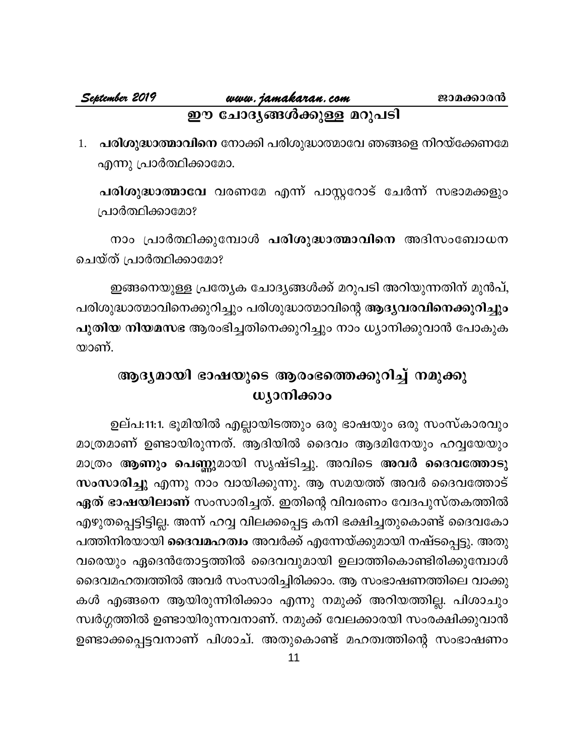# **September <sup>2019</sup> www.jamakaran.com Pma¡mc³** ഈ ചോദ്യങ്ങൾക്കുള്ള മറുപടി

1. **പരിശുദ്ധാത്മാവിനെ** നോക്കി പരിശുദ്ധാത്മാവേ ഞങ്ങളെ നിറയ്ക്കേണമേ എന്നു പ്രാർത്ഥിക്കാമോ. **ഇൗ ചോദൃങ്ങശക്കുള്ള മറുപട।**<br>പരിശുദ്ധാത്മാവിനെ നോക്കി പരിശുദ്ധാത്മാവേ ഞങ്ങളെ നിറയ്ക്കേണമേ<br>എന്നു പ്രാർത്ഥിക്കാമോ.<br>പ്രാർത്ഥിക്കാമോ?<br>പ്രാർത്ഥിക്കാമോ?

പ്രാർത്ഥിക്കാമോ? )ന്നു പ്രാര്ത്ഥിക്കാമോ.<br>രിശുദ്ധാ**ത്മാവേ** വരണമേ എന്ന് പാസ്റ്ററോട് ചേർന്ന് സഭാമക്കളും<br>രാം പ്രാർത്ഥിക്കുമ്പോൾ **പരിശുദ്ധാത്മാവിനെ** അദിസംബോധന<br>ത് പ്രാർത്ഥിക്കാമോ?<br>ഇതായെല്ലെ പണ്ഡ 2.4 ശ്രീ *അറിയി ഇരിയ് ഇ*രി മാറിയുണ്ടിന് മാർ പ്

ചെയ്ത് പ്രാർത്ഥിക്കാമോ?

ഇങ്ങനെയുള്ള പ്രത്യേക ചോദ്യങ്ങൾക്ക് മറുപടി അറിയുന്നതിന് മുൻപ്, പരിശുദ്ധാത്മാവിനെക്കുറിച്ചും പരിശുദ്ധാത്മാവിന്റെ **ആദ്യവരവിനെക്കുറിച്ചും** ചെയ്ത് പ്രാർത്ഥിക്കാമോ?<br>ഇങ്ങനെയുള്ള പ്രത്യേക ചോദ്യങ്ങൾക്ക് മറുപടി അറിയുന്നതിന് മുൻപ്,<br>പരിശുദ്ധാത്മാവിനെക്കുറിച്ചും പരിശുദ്ധാത്മാവിന്റെ **ആദ്യവരവിനെക്കുറിച്ചും**<br>പുതിയ നിയമസഭ ആരംഭിച്ചതിനെക്കുറിച്ചും നാം ധ്യാനിക്കുവാൻ പോകുക<br>യ യാണ്.

# ആദ്യമായി ഭാഷയുടെ ആരംഭത്തെക്കുറിച്ച് നമുക്കു **wyomlanoo**

ഉല്പ:11:1. ഭൂമിയിൽ എല്ലായിടത്തും ഒരു ഭാഷയും ഒരു സംസ്കാരവും ആദൃമായി ഭാഷയുടെ ആരംഭത്തെക്കുറിച്ച് നമുക്കു<br>ധൃാനിക്കാം<br>ഉല്പ:11:1. ഭൂമിയിൽ എല്ലായിടത്തും ഒരു ഭാഷയും ഒരു സംസ്കാരവും<br>മാത്രമാണ് ഉണ്ടായിരുന്നത്. ആദിയിൽ ദൈവം ആദമിനേയും ഹവ്വയേയും<br>മാത്രം ആണും പെണ്ണുമായി സൃഷ്ടിച്ചു. അവിടെ അവർ ദൈവത് മാത്രം **ആണും പെണ്ണു**മായി സൃഷ്ടിച്ചു. അവിടെ അവർ ദൈവത്തോടു ് ഉല്പ:11:1. ഭൂമിയിൽ എല്ലായിടത്തും ഒരു ഭാഷയും ഒരു സംസ്കാരവും<br>മാത്രമാണ് ഉണ്ടായിരുന്നത്. ആദിയിൽ ദൈവം ആദമിനേയും ഹവ്വയേയും<br>മാത്രം ആ**ണും പെണ്ണുമായി സൃഷ്ടിച്ചു. അവിടെ അവർ ദൈവത്തോടു**<br>ഏത് ഭാഷയിലാണ് സംസാരിച്ചത്. ഇതിന്റെ വിവരണം വേദ ് ഉലപ:11:1. ഭൂമിയിൽ എല്ലായിടത്തും ഒരു ഭാഷയും ഒരു സംസകാരവും<br>മാത്രമാണ് ഉണ്ടായിരുന്നത്. ആദിയിൽ ദൈവം ആദമിനേയും ഹവ്വയേയും<br>മാത്രം **ആണും പെണ്ണു**മായി സൃഷ്ടിച്ചു. അവിടെ **അവർ ദൈവത്തോട്ട**<br>സംസാരിച്ചു എന്നു നാം വായിക്കുന്നു. ആ സമയത്ത് എഴുതപ്പെട്ടിട്ടില്ല. അന്ന് ഹവ്വ വിലക്കപ്പെട്ട കനി ഭക്ഷിച്ചതുകൊണ്ട് ദൈവകോ പത്തിനിരയായി **ദൈവമഹത്വം** അവർക്ക് എന്നേയ്ക്കുമായി നഷ്ടപ്പെട്ടു. അതു സംസാരിച്ചു എന്നു നാം വായിക്കുന്നു. ആ സമയത്ത അവര ദൈവത്തോട<br>**ഏത് ഭാഷയിലാണ്** സംസാരിച്ചത്. ഇതിന്റെ വിവരണം വേദപുസ്തകത്തിൽ<br>എഴുതപ്പെട്ടിട്ടില്ല. അന്ന് ഹവ്വ വിലക്കപ്പെട്ട കനി ഭക്ഷിച്ചതുകൊണ്ട് ദൈവകോ<br>പത്തിനിരയായി **ദൈവമഹത്വം** അവർക്ക് ദെവമഹത്വത്തിൽ അവർ സംസാരിച്ചിരിക്കാം. ആ സംഭാഷണത്തിലെ വാക്കു കൾ എങ്ങനെ ആയിരുന്നിരിക്കാം എന്നു നമുക്ക് അറിയത്തില്ല. പിശാചും വരെയും ഏദെൻതോട്ടത്തിൽ ദൈവവുമായി ഉലാത്തികൊണ്ടിരിക്കുമ്പോൾ<br>ദൈവമഹത്വത്തിൽ അവർ സംസാരിച്ചിരിക്കാം. ആ സംഭാഷണത്തിലെ വാക്കു<br>കൾ എങ്ങനെ ആയിരുന്നിരിക്കാം എന്നു നമുക്ക് അറിയത്തില്ല. പിശാചും<br>സ്വർഗ്ഗത്തിൽ ഉണ്ടായിരുന്നവനാണ്. നമുക്ക് വേല വരെയും ഏദെരതോട്ടരതിരാ ദൈവവുമായി ഉലാത്തികൊണ്ടിരിക്കുമ്പോശ<br>ദൈവമഹത്വത്തിൽ അവർ സംസാരിച്ചിരിക്കാം. ആ സംഭാഷണത്തിലെ വാക്കു<br>കൾ എങ്ങനെ ആയിരുന്നിരിക്കാം എന്നു നമുക്ക് അറിയത്തില്ല. പിശാചും<br>സ്വർഗ്ഗത്തിൽ ഉണ്ടായിരുന്നവനാണ്. നമുക്ക് വേല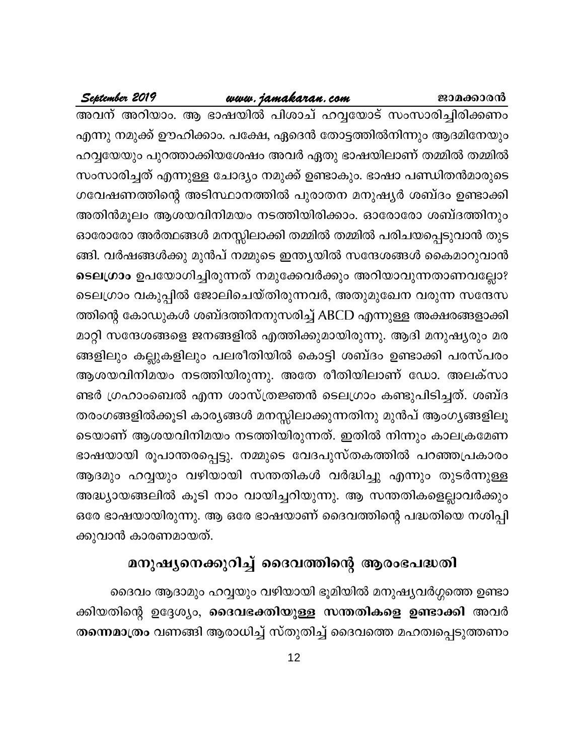# www.jamakaran.com

അവന് അറിയാം. ആ ഭാഷയിൽ പിശാച് ഹവ്വയോട് സംസാരിച്ചിരിക്കണം എന്നു നമുക്ക് ഊഹിക്കാം. പക്ഷേ, ഏദെൻ തോട്ടത്തിൽനിന്നും ആദമിനേയും ഹവ്വയേയും പുറത്താക്കിയശേഷം അവർ ഏതു ഭാഷയിലാണ് തമ്മിൽ തമ്മിൽ സംസാരിച്ചത് എന്നുള്ള ചോദ്യം നമുക്ക് ഉണ്ടാകും. ഭാഷാ പണ്ഡിതൻമാരുടെ ഗവേഷണത്തിന്റെ അടിസ്ഥാനത്തിൽ പുരാതന മനുഷ്യർ ശബ്ദം ഉണ്ടാക്കി അതിൻമൂലം ആശയവിനിമയം നടത്തിയിരിക്കാം. ഓരോരോ ശബ്ദത്തിനും ഓരോരോ അർത്ഥങ്ങൾ മനസ്സിലാക്കി തമ്മിൽ തമ്മിൽ പരിചയപ്പെടുവാൻ തുട ങ്ങി. വർഷങ്ങൾക്കു മുൻപ് നമ്മുടെ ഇന്ത്യയിൽ സന്ദേശങ്ങൾ കൈമാറുവാൻ ടെലഗ്രാം ഉപയോഗിച്ചിരുന്നത് നമുക്കേവർക്കും അറിയാവുന്നതാണവല്ലോ? ടെലഗ്രാം വകുപ്പിൽ ജോലിചെയ്തിരുന്നവർ, അതുമുഖേന വരുന്ന സന്ദേസ ത്തിന്റെ കോഡുകൾ ശബ്ദത്തിനനുസരിച്ച് ABCD എന്നുള്ള അക്ഷരങ്ങളാക്കി മാറ്റി സന്ദേശങ്ങളെ ജനങ്ങളിൽ എത്തിക്കുമായിരുന്നു. ആദി മനുഷ്യരും മര ങ്ങളിലും കല്ലുകളിലും പലരീതിയിൽ കൊട്ടി ശബ്ദം ഉണ്ടാക്കി പരസ്പരം ആശയവിനിമയം നടത്തിയിരുന്നു. അതേ രീതിയിലാണ് ഡോ. അലക്സാ ണ്ടർ ഗ്രഹാംബെൽ എന്ന ശാസ്ത്രജ്ഞൻ ടെലഗ്രാം കണ്ടുപിടിച്ചത്. ശബ്ദ തരംഗങ്ങളിൽക്കൂടി കാര്യങ്ങൾ മനസ്സിലാക്കുന്നതിനു മുൻപ് ആംഗ്യങ്ങളിലൂ ടെയാണ് ആശയവിനിമയം നടത്തിയിരുന്നത്. ഇതിൽ നിന്നും കാലക്രമേണ ഭാഷയായി രൂപാന്തരപ്പെട്ടു. നമ്മുടെ വേദപുസ്തകത്തിൽ പറഞ്ഞപ്രകാരം ആദമും ഹവ്വയും വഴിയായി സന്തതികൾ വർദ്ധിച്ചു എന്നും തുടർന്നുള്ള അദ്ധ്യായങ്ങലിൽ കൂടി നാം വായിച്ചറിയുന്നു. ആ സന്തതികളെല്ലാവർക്കും ഒരേ ഭാഷയായിരുന്നു. ആ ഒരേ ഭാഷയാണ് ദൈവത്തിന്റെ പദ്ധതിയെ നശിപ്പി ക്കുവാൻ കാരണമായത്.

# മനുഷ്യനെക്കുറിച്ച് ദൈവത്തിന്റെ ആരംഭപദ്ധതി

ദൈവം ആദാമും ഹവ്വയും വഴിയായി ഭൂമിയിൽ മനുഷ്യവർഗ്ഗത്തെ ഉണ്ടാ ക്കിയതിന്റെ ഉദ്ദേശ്യം, ദൈവഭക്തിയുള്ള സന്തതികളെ ഉണ്ടാക്കി അവർ തന്നെമാത്രം വണങ്ങി ആരാധിച്ച് സ്തുതിച്ച് ദൈവത്തെ മഹത്വപ്പെടുത്തണം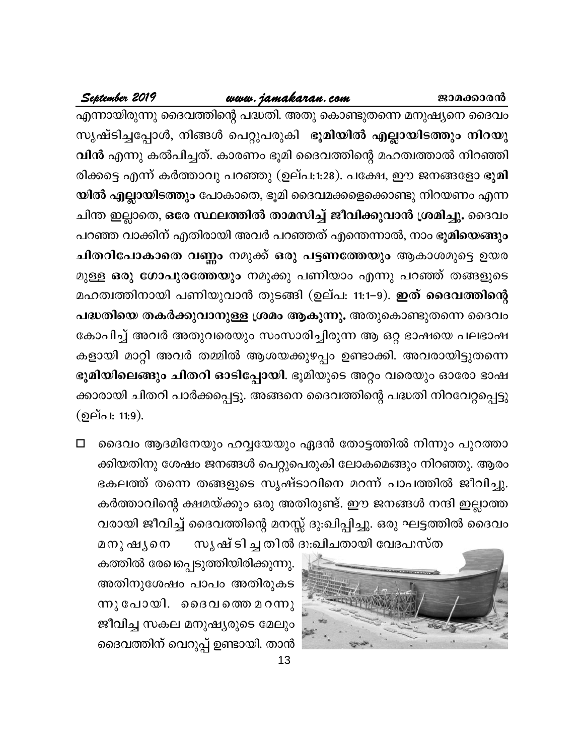# www.jamakaran.com

September 2019

എന്നായിരുന്നു ദൈവത്തിന്റെ പദ്ധതി. അതു കൊണ്ടുതന്നെ മനുഷ്യനെ ദൈവം സൃഷ്ടിച്ചപ്പോൾ, നിങ്ങൾ പെറ്റുപരുകി ഭൂമിയിൽ എല്ലായിടത്തും നിറയു വിൻ എന്നു കൽപിച്ചത്. കാരണം ഭൂമി ദൈവത്തിന്റെ മഹത്വത്താൽ നിറഞ്ഞി രിക്കട്ടെ എന്ന് കർത്താവു പറഞ്ഞു (ഉല്പ:1:28). പക്ഷേ, ഈ ജനങ്ങളോ ഭൂമി യിൽ എല്ലായിടത്തും പോകാതെ, ഭൂമി ദൈവമക്കളെക്കൊണ്ടു നിറയണം എന്ന ചിന്ത ഇല്ലാതെ, ഒരേ സ്ഥലത്തിൽ താമസിച്ച് ജീവിക്കുവാൻ ശ്രമിച്ചു. ദൈവം പറഞ്ഞ വാക്കിന് എതിരായി അവർ പറഞ്ഞത് എന്തെന്നാൽ, നാം ഭൂ**മിയെങ്ങും** ചിതറിപോകാതെ വണ്ണം നമുക്ക് ഒരു പട്ടണത്തേയും ആകാശമുട്ടെ ഉയര മുള്ള ഒരു ഗോപുരത്തേയും നമുക്കു പണിയാം എന്നു പറഞ്ഞ് തങ്ങളുടെ മഹത്വത്തിനായി പണിയുവാൻ തുടങ്ങി (ഉല്പ: 11:1−9). ഇത് ദൈവത്തിന്റെ പദ്ധതിയെ തകർക്കുവാനുള്ള ശ്രമം ആകുന്നു. അതുകൊണ്ടുതന്നെ ദൈവം കോപിച്ച് അവർ അതുവരെയും സംസാരിച്ചിരുന്ന ആ ഒറ്റ ഭാഷയെ പലഭാഷ കളായി മാറ്റി അവർ തമ്മിൽ ആശയക്കുഴപ്പം ഉണ്ടാക്കി. അവരായിട്ടുതന്നെ ഭൂമിയിലെങ്ങും ചിതറി ഓടിപ്പോയി. ഭൂമിയുടെ അറ്റം വരെയും ഓരോ ഭാഷ ക്കാരായി ചിതറി പാർക്കപ്പെട്ടു. അങ്ങനെ ദൈവത്തിന്റെ പദ്ധതി നിറവേറ്റപ്പെട്ടു (ഉല്പ: 11:9).

ദൈവം ആദമിനേയും ഹവ്വയേയും ഏദൻ തോട്ടത്തിൽ നിന്നും പുറത്താ  $\Box$ ക്കിയതിനു ശേഷം ജനങ്ങൾ പെറ്റുപെരുകി ലോകമെങ്ങും നിറഞ്ഞു. ആരം ഭകലത്ത് തന്നെ തങ്ങളുടെ സൃഷ്ടാവിനെ മറന്ന് പാപത്തിൽ ജീവിച്ചു. കർത്താവിന്റെ ക്ഷമയ്ക്കും ഒരു അതിരുണ്ട്. ഈ ജനങ്ങൾ നന്ദി ഇല്ലാത്ത വരായി ജീവിച്ച് ദൈവത്തിന്റെ മനസ്സ് ദു:ഖിപ്പിച്ചു. ഒരു ഘട്ടത്തിൽ ദൈവം



മനു ഷൃനെ കത്തിൽ രേഖപ്പെടുത്തിയിരിക്കുന്നു. അതിനുശേഷം പാപം അതിരുകട ന്നു പോയി. ദൈവത്തെ മറന്നു ജീവിച്ച സകല മനുഷ്യരുടെ മേലും ദൈവത്തിന് വെറുപ്പ് ഉണ്ടായി. താൻ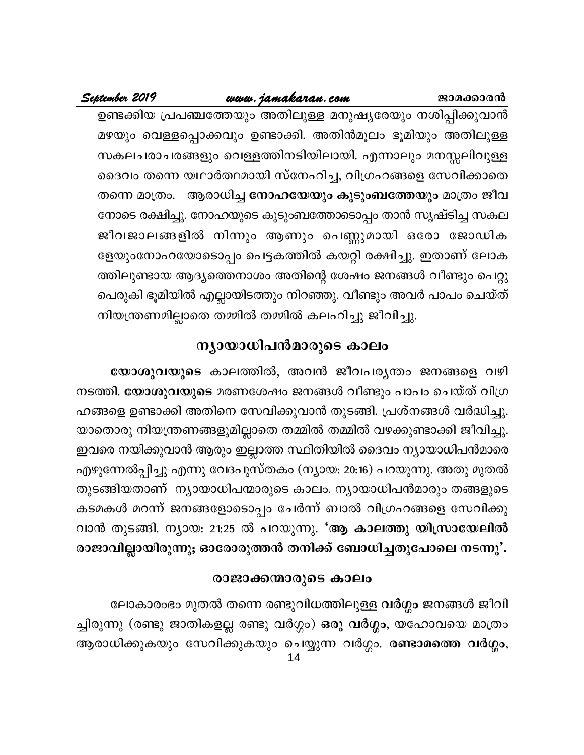# www.jamakaran.com

September 2019

ജാമക്കാരൻ ഉണ്ടക്കിയ പ്രപഞ്ചത്തേയും അതിലുള്ള മനുഷ്യരേയും നശിപ്പിക്കുവാൻ മഴയും വെള്ളപ്പൊക്കവും ഉണ്ടാക്കി. അതിൻമൂലം ഭൂമിയും അതിലുള്ള സകലചരാചരങ്ങളും വെള്ളത്തിനടിയിലായി. എന്നാലും മനസ്സലിവുള്ള ദൈവം തന്നെ യഥാർത്ഥമായി സ്നേഹിച്ച, വിഗ്രഹങ്ങളെ സേവിക്കാതെ

തന്നെ മാത്രം. ആരാധിച്ച **നോഹയേയും കുടുംബത്തേയും** മാത്രം ജീവ നോടെ രക്ഷിച്ചു. നോഹയുടെ കുടുംബത്തോടൊപ്പം താൻ സൃഷ്ടിച്ച സകല ജീവജാലങ്ങളിൽ നിന്നും ആണും പെണ്ണുമായി ഒരോ ജോഡിക ളേയുംനോഹയോടൊപ്പം പെട്ടകത്തിൽ കയറ്റി രക്ഷിച്ചു. ഇതാണ് ലോക ത്തിലുണ്ടായ ആദ്യത്തെനാശം അതിന്റെ ശേഷം ജനങ്ങൾ വീണ്ടും പെറ്റു പെരുകി ഭൂമിയിൽ എല്ലായിടത്തും നിറഞ്ഞു. വീണ്ടും അവർ പാപം ചെയ്ത് നിയന്ത്രണമില്ലാതെ തമ്മിൽ തമ്മിൽ കലഹിച്ചു ജീവിച്ചു.

# ന്യായാധിപൻമാരുടെ കാലം

യോശുവയുടെ കാലത്തിൽ, അവൻ ജീവപര്യന്തം ജനങ്ങളെ വഴി നടത്തി. **യോശുവയുടെ** മരണശേഷം ജനങ്ങൾ വീണ്ടും പാപം ചെയ്ത് വിഗ്ര ഹങ്ങളെ ഉണ്ടാക്കി അതിനെ സേവിക്കുവാൻ തുടങ്ങി. പ്രശ്നങ്ങൾ വർദ്ധിച്ചു. യാതൊരു നിയന്ത്രണങ്ങളുമില്ലാതെ തമ്മിൽ തമ്മിൽ വഴക്കുണ്ടാക്കി ജീവിച്ചു. ഇവരെ നയിക്കുവാൻ ആരും ഇല്ലാത്ത സ്ഥിതിയിൽ ദൈവം ന്യായാധിപൻമാരെ എഴുന്നേൽപ്പിച്ചു എന്നു വേദപുസ്തകം (ന്യായ: 20:16) പറയുന്നു. അതു മുതൽ തുടങ്ങിയതാണ് ന്യായാധിപന്മാരുടെ കാലം. ന്യായാധിപൻമാരും തങ്ങളുടെ കടമകൾ മറന്ന് ജനങ്ങളോടൊപ്പം ചേർന്ന് ബാൽ വിഗ്രഹങ്ങളെ സേവിക്കു വാൻ തുടങ്ങി. ന്യായ: 21:25 ൽ പറയുന്നു. 'ആ കാലത്തു യിസ്രായേലിൽ രാജാവില്ലായിരുന്നു; ഓരോരുത്തൻ തനിക്ക് ബോധിച്ചതുപോലെ നടന്നു'.

# രാജാക്കന്മാരുടെ കാലം

ലോകാരംഭം മുതൽ തന്നെ രണ്ടുവിധത്തിലുള്ള വർഗ്ഗം ജനങ്ങൾ ജീവി ച്ചിരുന്നു (രണ്ടു ജാതികളല്ല രണ്ടു വർഗ്ഗം) ഒരു വർഗ്ഗം, യഹോവയെ മാത്രം ആരാധിക്കുകയും സേവിക്കുകയും ചെയ്യുന്ന വർഗ്ഗം. ര**ണ്ടാമത്തെ വർഗ്ഗം**, 14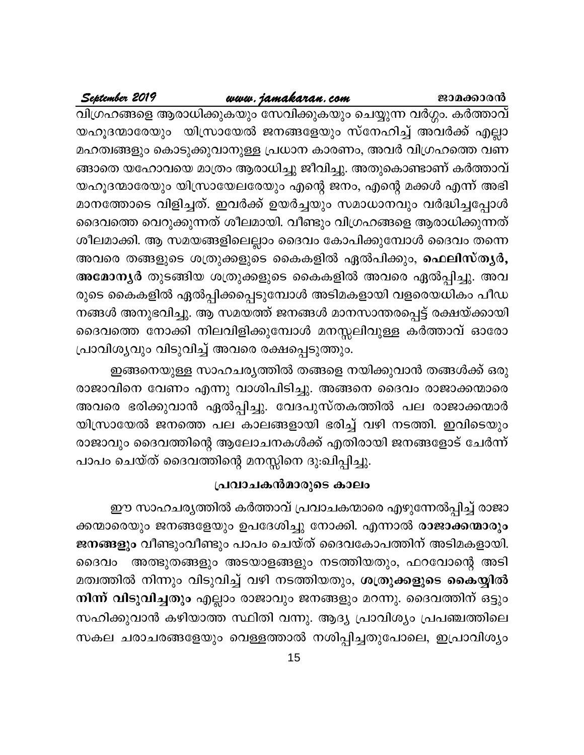# www.jamakaran.com

September 2019

വിഗ്രഹങ്ങളെ ആരാധിക്കുകയും സേവിക്കുകയും ചെയ്യുന്ന വർഗ്ഗം. കർത്താവ് യഹൂദന്മാരേയും യിസ്രായേൽ ജനങ്ങളേയും സ്നേഹിച്ച് അവർക്ക് എല്ലാ മഹത്വങ്ങളും കൊടുക്കുവാനുള്ള പ്രധാന കാരണം, അവർ വിഗ്രഹത്തെ വണ ങ്ങാതെ യഹോവയെ മാത്രം ആരാധിച്ചു ജീവിച്ചു. അതുകൊണ്ടാണ് കർത്താവ് യഹൂദന്മാരേയും യിസ്രായേലരേയും എന്റെ ജനം, എന്റെ മക്കൾ എന്ന് അഭി മാനത്തോടെ വിളിച്ചത്. ഇവർക്ക് ഉയർച്ചയും സമാധാനവും വർദ്ധിച്ചപ്പോൾ ദൈവത്തെ വെറുക്കുന്നത് ശീലമായി. വീണ്ടും വിഗ്രഹങ്ങളെ ആരാധിക്കുന്നത് ശീലമാക്കി. ആ സമയങ്ങളിലെല്ലാം ദൈവം കോപിക്കുമ്പോൾ ദൈവം തന്നെ അവരെ തങ്ങളുടെ ശത്രുക്കളുടെ കൈകളിൽ ഏൽപിക്കും, ഫെലിസ്തൃർ, അമോന്യർ തുടങ്ങിയ ശത്രുക്കളുടെ കൈകളിൽ അവരെ ഏൽപ്പിച്ചു. അവ രുടെ കൈകളിൽ ഏൽപ്പിക്കപ്പെടുമ്പോൾ അടിമകളായി വളരെയധികം പീഡ നങ്ങൾ അനുഭവിച്ചു. ആ സമയത്ത് ജനങ്ങൾ മാനസാന്തരപ്പെട്ട് രക്ഷയ്ക്കായി ദൈവത്തെ നോക്കി നിലവിളിക്കുമ്പോൾ മനസ്സലിവുള്ള കർത്താവ് ഓരോ പ്രാവിശൃവും വിടുവിച്ച് അവരെ രക്ഷപ്പെടുത്തും.

ഇങ്ങനെയുള്ള സാഹചര്യത്തിൽ തങ്ങളെ നയിക്കുവാൻ തങ്ങൾക്ക് ഒരു രാജാവിനെ വേണം എന്നു വാശിപിടിച്ചു. അങ്ങനെ ദൈവം രാജാക്കന്മാരെ അവരെ ഭരിക്കുവാൻ ഏൽപ്പിച്ചു. വേദപുസ്തകത്തിൽ പല രാജാക്കന്മാർ യിസ്രായേൽ ജനത്തെ പല കാലങ്ങളായി ഭരിച്ച് വഴി നടത്തി. ഇവിടെയും രാജാവും ദൈവത്തിന്റെ ആലോചനകൾക്ക് എതിരായി ജനങ്ങളോട് ചേർന്ന് പാപം ചെയ്ത് ദൈവത്തിന്റെ മനസ്സിനെ ദു:ഖിപ്പിച്ചു.

# പ്രവാചകൻമാരുടെ കാലം

ഈ സാഹചര്യത്തിൽ കർത്താവ് പ്രവാചകന്മാരെ എഴുന്നേൽപ്പിച്ച് രാജാ ക്കന്മാരെയും ജനങ്ങളേയും ഉപദേശിച്ചു നോക്കി. എന്നാൽ രാജാക്കന്മാരും ജനങ്ങളും വീണ്ടുംവീണ്ടും പാപം ചെയ്ത് ദൈവകോപത്തിന് അടിമകളായി. അത്ഭുതങ്ങളും അടയാളങ്ങളും നടത്തിയതും, ഫറവോന്റെ അടി ദൈവം മത്വത്തിൽ നിന്നും വിടുവിച്ച് വഴി നടത്തിയതും, <mark>ശത്രുക്കളുടെ കൈയ്യിൽ</mark> നിന്ന് വിടുവിച്ചതും എല്ലാം രാജാവും ജനങ്ങളും മറന്നു. ദൈവത്തിന് ഒട്ടും സഹിക്കുവാൻ കഴിയാത്ത സ്ഥിതി വന്നു. ആദ്യ പ്രാവിശ്യം പ്രപഞ്ചത്തിലെ സകല ചരാചരങ്ങളേയും വെള്ളത്താൽ നശിപ്പിച്ചതുപോലെ, ഇപ്രാവിശ്യം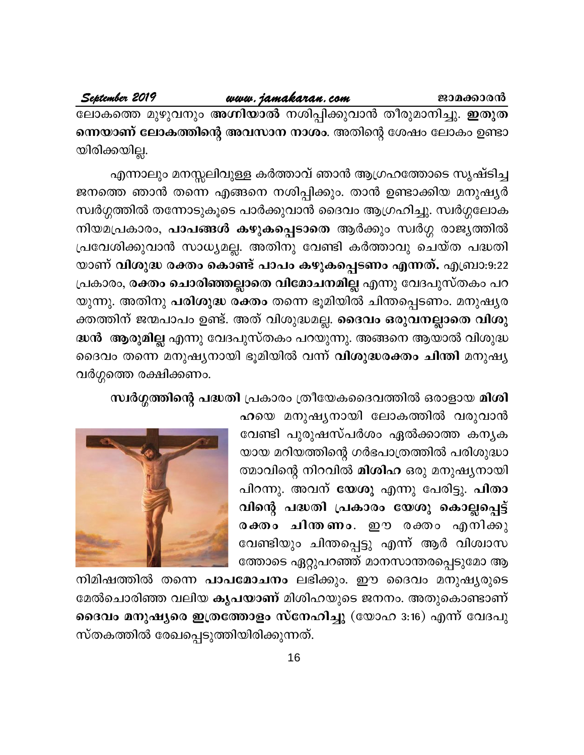# www.jamakaran.com

September 2019

ലോകത്തെ മുഴുവനും അഗ്നിയാൽ നശിപ്പിക്കുവാൻ തീരുമാനിച്ചു. ഇതുത ന്നെയാണ് ലോകത്തിന്റെ അവസാന നാശം. അതിന്റെ ശേഷം ലോകം ഉണ്ടാ യിരിക്കയില്ല.

എന്നാലും മനസ്സലിവുള്ള കർത്താവ് ഞാൻ ആഗ്രഹത്തോടെ സൃഷ്ടിച്ച ജനത്തെ ഞാൻ തന്നെ എങ്ങനെ നശിപ്പിക്കും. താൻ ഉണ്ടാക്കിയ മനുഷ്യർ സ്വർഗ്ഗത്തിൽ തന്നോടുകൂടെ പാർക്കുവാൻ ദൈവം ആഗ്രഹിച്ചു. സ്വർഗ്ഗലോക നിയമപ്രകാരം, പാപങ്ങൾ കഴുകപ്പെടാതെ ആർക്കും സ്വർഗ്ഗ രാജ്യത്തിൽ പ്രവേശിക്കുവാൻ സാധ്യമല്ല. അതിനു വേണ്ടി കർത്താവു ചെയ്ത പദ്ധതി യാണ് വിശുദ്ധ രക്തം കൊണ്ട് പാപം കഴുകപ്പെടണം എന്നത്. എബ്രാ:9:22 പ്രകാരം, രക്തം ചൊരിഞ്ഞല്ലാതെ വിമോചനമില്ല എന്നു വേദപുസ്തകം പറ യുന്നു. അതിനു പരിശുദ്ധ രക്തം തന്നെ ഭൂമിയിൽ ചിന്തപ്പെടണം. മനുഷ്യര ക്തത്തിന് ജന്മപാപം ഉണ്ട്. അത് വിശുദ്ധമല്ല. <mark>ദൈവം ഒരുവനല്ലാതെ വിശു</mark> ദ്ധൻ ആരുമില്ല എന്നു വേദപുസ്തകം പറയുന്നു. അങ്ങനെ ആയാൽ വിശുദ്ധ ദൈവം തന്നെ മനുഷ്യനായി ഭൂമിയിൽ വന്ന് **വിശുദ്ധരക്തം ചിന്തി** മനുഷ്യ വർഗ്ഗത്തെ രക്ഷിക്കണം.

# സ്ഥർഗ്ഗത്തിന്റെ പദ്ധതി പ്രകാരം ത്രീയേകദൈവത്തിൽ ഒരാളായ മിശി

ഹയെ മനുഷ്യനായി ലോകത്തിൽ വരുവാൻ വേണ്ടി പുരുഷസ്പർശം ഏൽക്കാത്ത കനൃക യായ മറിയത്തിന്റെ ഗർഭപാത്രത്തിൽ പരിശുദ്ധാ ത്മാവിന്റെ നിറവിൽ <mark>മിശിഹ</mark> ഒരു മനുഷ്യനായി പിറന്നു. അവന് യേശു എന്നു പേരിട്ടു. പിതാ വിന്റെ പദ്ധതി പ്രകാരം യേശു കൊല്ലപ്പെട്ട് രക്തം ചിന്തണം. ഈ രക്തം എനിക്കു വേണ്ടിയും ചിന്തപ്പെട്ടു എന്ന് ആർ വിശ്വാസ ത്തോടെ ഏറ്റുപറഞ്ഞ് മാനസാന്തരപ്പെടുമോ ആ



നിമിഷത്തിൽ തന്നെ **പാപമോചനം** ലഭിക്കും. ഈ ദൈവം മനുഷ്യരുടെ മേൽചൊരിഞ്ഞ വലിയ കൃപയാണ് മിശിഹയുടെ ജനനം. അതുകൊണ്ടാണ് ദൈവം മനുഷ്യരെ ഇത്രത്തോളം സ്നേഹിച്ചു (യോഹ 3:16) എന്ന് വേദപു സ്തകത്തിൽ രേഖപ്പെടുത്തിയിരിക്കുന്നത്.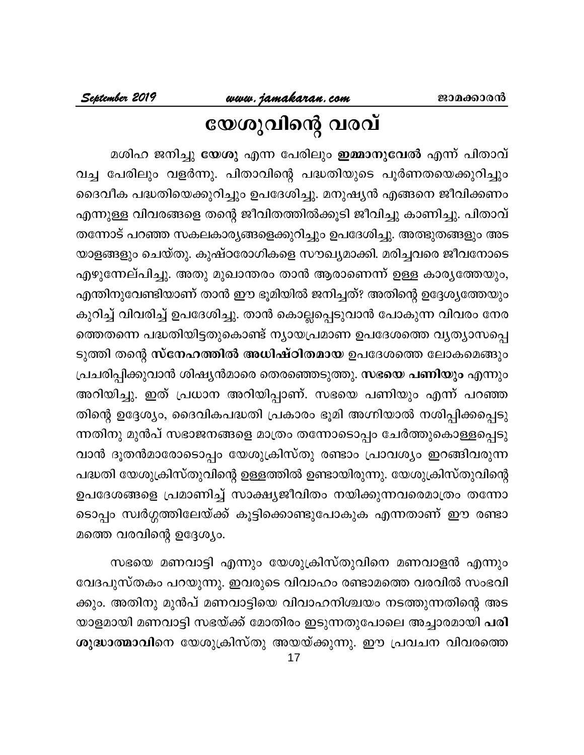# www.jamakaran.com<br>COOO301003 01001

മശിഹ ജനിച്ചു <mark>യേശു</mark> എന്ന പേരിലും **ഇമ്മാനുവേൽ** എന്ന് പിതാവ് വച്ച പേരിലും വളർന്നു. പിതാവിന്റെ പദ്ധതിയുടെ പൂർണതയെക്കുറിച്ചും ദൈവീക പദ്ധതിയെക്കുറിച്ചും ഉപദേശിച്ചു. മനുഷ്യൻ എങ്ങനെ ജീവിക്കണം എന്നുള്ള വിവരങ്ങളെ തന്റെ ജീവിതത്തിൽക്കൂടി ജീവിച്ചു കാണിച്ചു. പിതാവ് തന്നോട് പറഞ്ഞ സകലകാര്യങ്ങളെക്കുറിച്ചും ഉപദേശിച്ചു. അത്ഭുതങ്ങളും അട യാളങ്ങളും ചെയ്തു. കുഷ്ഠരോഗികളെ സൗഖ്യമാക്കി. മരിച്ചവരെ ജീവനോടെ എഴുന്നേല്പിച്ചു. അതു മുഖാന്തരം താൻ ആരാണെന്ന് ഉള്ള കാര്യത്തേയും, എന്തിനുവേണ്ടിയാണ് താൻ ഈ ഭൂമിയിൽ ജനിച്ചത്? അതിന്റെ ഉദ്ദേശ്യത്തേയും കുറിച്ച് വിവരിച്ച് ഉപദേശിച്ചു. താൻ കൊല്ലപ്പെടുവാൻ പോകുന്ന വിവരം നേര ത്തെതന്നെ പദ്ധതിയിട്ടതുകൊണ്ട് ന്യായപ്രമാണ ഉപദേശത്തെ വ്യത്യാസപ്പെ ടുത്തി തന്റെ സ്നേഹത്തിൽ അധിഷ്ഠിതമായ ഉപദേശത്തെ ലോകമെങ്ങും പ്രചരിപ്പിക്കുവാൻ ശിഷ്യൻമാരെ തെരഞ്ഞെടുത്തു. <mark>സഭയെ പണിയും</mark> എന്നും അറിയിച്ചു. ഇത് പ്രധാന അറിയിപ്പാണ്. സഭയെ പണിയും എന്ന് പറഞ്ഞ തിന്റെ ഉദ്ദേശ്യം, ദൈവികപദ്ധതി പ്രകാരം ഭൂമി അഗ്നിയാൽ നശിപ്പിക്കപ്പെടു ന്നതിനു മുൻപ് സഭാജനങ്ങളെ മാത്രം തന്നോടൊപ്പം ചേർത്തുകൊള്ളപ്പെടു വാൻ ദൂതൻമാരോടൊപ്പം യേശുക്രിസ്തു രണ്ടാം പ്രാവശ്യം ഇറങ്ങിവരുന്ന പദ്ധതി യേശുക്രിസ്തുവിന്റെ ഉള്ളത്തിൽ ഉണ്ടായിരുന്നു. യേശുക്രിസ്തുവിന്റെ ഉപദേശങ്ങളെ പ്രമാണിച്ച് സാക്ഷ്യജീവിതം നയിക്കുന്നവരെമാത്രം തന്നോ ടൊപ്പം സ്വർഗ്ഗത്തിലേയ്ക്ക് കൂട്ടിക്കൊണ്ടുപോകുക എന്നതാണ് ഈ രണ്ടാ മത്തെ വരവിന്റെ ഉദ്ദേശ്യം.

സഭയെ മണവാട്ടി എന്നും യേശുക്രിസ്തുവിനെ മണവാളൻ എന്നും വേദപുസ്തകം പറയുന്നു. ഇവരുടെ വിവാഹം രണ്ടാമത്തെ വരവിൽ സംഭവി ക്കും. അതിനു മുൻപ് മണവാട്ടിയെ വിവാഹനിശ്ചയം നടത്തുന്നതിന്റെ അട യാളമായി മണവാട്ടി സഭയ്ക്ക് മോതിരം ഇടുന്നതുപോലെ അച്ചാരമായി പരി ശുദ്ധാത്മാവിനെ യേശുക്രിസ്തു അയയ്ക്കുന്നു. ഈ പ്രവചന വിവരത്തെ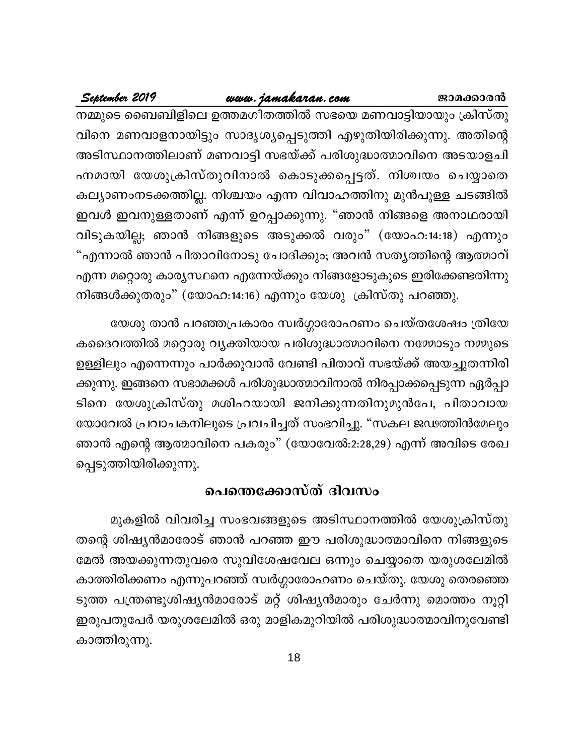# <u>www.jamakaran.com</u>

September 2019

നമ്മുടെ ബൈബിളിലെ ഉത്തമഗീതത്തിൽ സഭയെ മണവാട്ടിയായും ക്രിസ്തു വിനെ മണവാളനായിട്ടും സാദൃശ്യപ്പെടുത്തി എഴുതിയിരിക്കുന്നു. അതിന്റെ അടിസ്ഥാനത്തിലാണ് മണവാട്ടി സഭയ്ക്ക് പരിശുദ്ധാത്മാവിനെ അടയാളചി ഹ്നമായി യേശുക്രിസ്തുവിനാൽ കൊടുക്കപ്പെട്ടത്. നിശ്ചയം ചെയ്യാതെ കല്യാണംനടക്കത്തില്ല. നിശ്ചയം എന്ന വിവാഹത്തിനു മുൻപുള്ള ചടങ്ങിൽ ഇവൾ ഇവനുള്ളതാണ് എന്ന് ഉറപ്പാക്കുന്നു. "ഞാൻ നിങ്ങളെ അനാഥരായി വിടുകയില്ല; ഞാൻ നിങ്ങളുടെ അടുക്കൽ വരും" (യോഹ:14:18) എന്നും "എന്നാൽ ഞാൻ പിതാവിനോടു ചോദിക്കും; അവൻ സതൃത്തിന്റെ ആത്മാവ് എന്ന മറ്റൊരു കാര്യസ്ഥനെ എന്നേയ്ക്കും നിങ്ങളോടുകൂടെ ഇരിക്കേണ്ടതിന്നു നിങ്ങൾക്കുതരും" (യോഹ:14:16) എന്നും യേശു ക്രിസ്തു പറഞ്ഞു.

യേശു താൻ പറഞ്ഞപ്രകാരം സ്വർഗ്ഗാരോഹണം ചെയ്തശേഷം ത്രിയേ കദൈവത്തിൽ മറ്റൊരു വ്യക്തിയായ പരിശുദ്ധാത്മാവിനെ നമ്മോടും നമ്മുടെ ഉള്ളിലും എന്നെന്നും പാർക്കുവാൻ വേണ്ടി പിതാവ് സഭയ്ക്ക് അയച്ചുതന്നിരി ക്കുന്നു. ഇങ്ങനെ സഭാമക്കൾ പരിശുദ്ധാത്മാവിനാൽ നിരപ്പാക്കപ്പെടുന്ന ഏർപ്പാ ടിനെ യേശുക്രിസ്തു മശിഹയായി ജനിക്കുന്നതിനുമുൻപേ, പിതാവായ യോവേൽ പ്രവാചകനിലൂടെ പ്രവചിച്ചത് സംഭവിച്ചു. "സകല ജഢത്തിൻമേലും ഞാൻ എന്റെ ആത്മാവിനെ പകരും" (യോവേൽ:2:28,29) എന്ന് അവിടെ രേഖ പ്പെടുത്തിയിരിക്കുന്നു.

# പെന്തെക്കോസ്ത് ദിവസം

മുകളിൽ വിവരിച്ച സംഭവങ്ങളുടെ അടിസ്ഥാനത്തിൽ യേശുക്രിസ്തു തന്റെ ശിഷ്യൻമാരോട് ഞാൻ പറഞ്ഞ ഈ പരിശുദ്ധാത്മാവിനെ നിങ്ങളുടെ മേൽ അയക്കുന്നതുവരെ സുവിശേഷവേല ഒന്നും ചെയ്യാതെ യരുശലേമിൽ കാത്തിരിക്കണം എന്നുപറഞ്ഞ് സ്വർഗ്ഗാരോഹണം ചെയ്തു. യേശു തെരഞ്ഞെ ടുത്ത പന്ത്രണ്ടുശിഷ്യൻമാരോട് മറ്റ് ശിഷ്യൻമാരും ചേർന്നു മൊത്തം നൂറ്റി ഇരുപതുപേർ യരുശലേമിൽ ഒരു മാളികമുറിയിൽ പരിശുദ്ധാത്മാവിനുവേണ്ടി കാത്തിരുന്നു.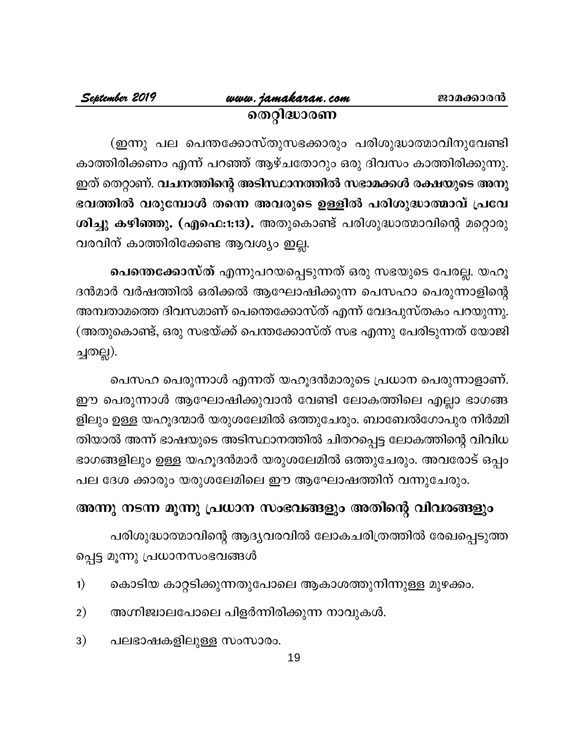(ഇന്നു പല പെന്തക്കോസ്തുസഭക്കാരും പരിശുദ്ധാത്മാവിനുവേണ്ടി കാത്തിരിക്കണം എന്ന് പറഞ്ഞ് ആഴ്ചതോറും ഒരു ദിവസം കാത്തിരിക്കുന്നു. ഇത് തെറ്റാണ്. വചനത്തിന്റെ അടിസ്ഥാനത്തിൽ സഭാമക്കൾ രക്ഷയുടെ അനു ഭവത്തിൽ വരുമ്പോൾ തന്നെ അവരുടെ ഉള്ളിൽ പരിശുദ്ധാത്മാവ് പ്രവേ ശിച്ചു കഴിഞ്ഞു. (എഫെ:1:13). അതുകൊണ്ട് പരിശുദ്ധാത്മാവിന്റെ മറ്റൊരു വരവിന് കാത്തിരിക്കേണ്ട ആവശ്യം ഇല്ല.

പെന്തെക്കോസ്ത് എന്നുപറയപ്പെടുന്നത് ഒരു സഭയുടെ പേരല്ല. യഹൂ ദൻമാർ വർഷത്തിൽ ഒരിക്കൽ ആഘോഷിക്കുന്ന പെസഹാ പെരുന്നാളിന്റെ അമ്പതാമത്തെ ദിവസമാണ് പെന്തെക്കോസ്ത് എന്ന് വേദപുസ്തകം പറയുന്നു. (അതുകൊണ്ട്, ഒരു സഭയ്ക്ക് പെന്തക്കോസ്ത് സഭ എന്നു പേരിടുന്നത് യോജി ച്ചതല്ല).

പെസഹ പെരുന്നാൾ എന്നത് യഹൂദൻമാരുടെ പ്രധാന പെരുന്നാളാണ്. ഈ പെരുന്നാൾ ആഘോഷിക്കുവാൻ വേണ്ടി ലോകത്തിലെ എല്ലാ ഭാഗങ്ങ ളിലും ഉള്ള യഹൂദന്മാർ യരുശലേമിൽ ഒത്തുചേരും. ബാബേൽഗോപുര നിർമ്മി തിയാൽ അന്ന് ഭാഷയുടെ അടിസ്ഥാനത്തിൽ ചിതറപ്പെട്ട ലോകത്തിന്റെ വിവിധ ഭാഗങ്ങളിലും ഉള്ള യഹൂദൻമാർ യരുശലേമിൽ ഒത്തുചേരും. അവരോട് ഒപ്പം പല ദേശ ക്കാരും യരുശലേമിലെ ഈ ആഘോഷത്തിന് വന്നുചേരും.

# അന്നു നടന്ന മൂന്നു പ്രധാന സംഭവങ്ങളും അതിന്റെ വിവരങ്ങളും

പരിശുദ്ധാത്മാവിന്റെ ആദൃവരവിൽ ലോകചരിത്രത്തിൽ രേഖപ്പെടുത്ത പ്പെട്ട മൂന്നു പ്രധാനസംഭവങ്ങൾ

- കൊടിയ കാറ്റടിക്കുന്നതുപോലെ ആകാശത്തുനിന്നുള്ള മുഴക്കം.  $1)$
- അഗ്നിജ്വാലപോലെ പിളർന്നിരിക്കുന്ന നാവുകൾ.  $2)$
- പലഭാഷകളിലുള്ള സംസാരം. 3)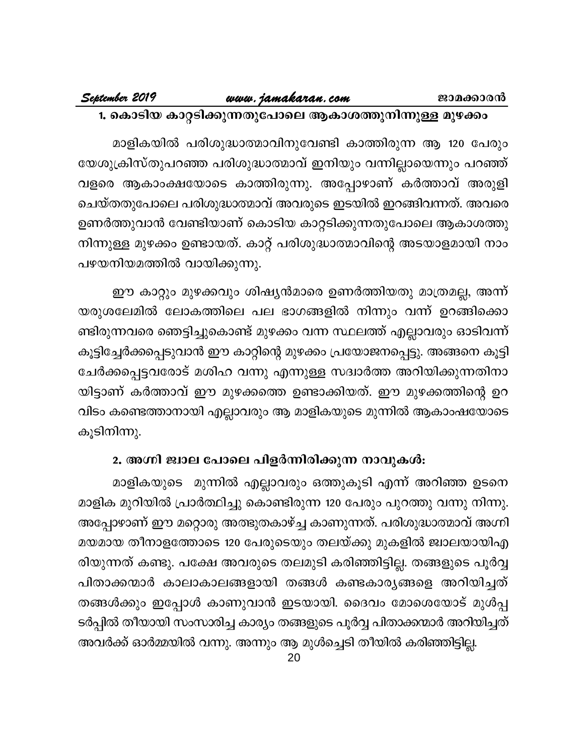# 1. കൊടിയ കാറ്റടിക്കുന്നതുപോലെ ആകാശത്തുനിന്നുള്ള മുഴക്കം

മാളികയിൽ പരിശുദ്ധാത്മാവിനുവേണ്ടി കാത്തിരുന്ന ആ 120 പേരും യേശുക്രിസ്തുപറഞ്ഞ പരിശുദ്ധാത്മാവ് ഇനിയും വന്നില്ലായെന്നും പറഞ്ഞ് വളരെ ആകാംക്ഷയോടെ കാത്തിരുന്നു. അപ്പോഴാണ് കർത്താവ് അരുളി ചെയ്തതുപോലെ പരിശുദ്ധാത്മാവ് അവരുടെ ഇടയിൽ ഇറങ്ങിവന്നത്. അവരെ ഉണർത്തുവാൻ വേണ്ടിയാണ് കൊടിയ കാറ്റടിക്കുന്നതുപോലെ ആകാശത്തു നിന്നുള്ള മുഴക്കം ഉണ്ടായത്. കാറ്റ് പരിശുദ്ധാത്മാവിന്റെ അടയാളമായി നാം പഴയനിയമത്തിൽ വായിക്കുന്നു.

ഈ കാറ്റും മുഴക്കവും ശിഷ്യൻമാരെ ഉണർത്തിയതു മാത്രമല്ല, അന്ന് യരുശലേമിൽ ലോകത്തിലെ പല ഭാഗങ്ങളിൽ നിന്നും വന്ന് ഉറങ്ങിക്കൊ ണ്ടിരുന്നവരെ ഞെട്ടിച്ചുകൊണ്ട് മുഴക്കം വന്ന സ്ഥലത്ത് എല്ലാവരും ഓടിവന്ന് കൂട്ടിച്ചേർക്കപ്പെടുവാൻ ഈ കാറ്റിന്റെ മുഴക്കം പ്രയോജനപ്പെട്ടു. അങ്ങനെ കൂട്ടി ചേർക്കപ്പെട്ടവരോട് മശിഹ വന്നു എന്നുള്ള സദ്വാർത്ത അറിയിക്കുന്നതിനാ യിട്ടാണ് കർത്താവ് ഈ മുഴക്കത്തെ ഉണ്ടാക്കിയത്. ഈ മുഴക്കത്തിന്റെ ഉറ വിടം കണ്ടെത്താനായി എല്ലാവരും ആ മാളികയുടെ മുന്നിൽ ആകാംഷയോടെ കൂടിനിന്നു.

# 2. അഗ്നി ജ്വാല പോലെ പിളർന്നിരിക്കുന്ന നാവുകൾ:

മാളികയുടെ മുന്നിൽ എല്ലാവരും ഒത്തുകൂടി എന്ന് അറിഞ്ഞ ഉടനെ മാളിക മുറിയിൽ പ്രാർത്ഥിച്ചു കൊണ്ടിരുന്ന 120 പേരും പുറത്തു വന്നു നിന്നു. അപ്പോഴാണ് ഈ മറ്റൊരു അത്ഭുതകാഴ്ച്ച കാണുന്നത്. പരിശുദ്ധാത്മാവ് അഗ്നി മയമായ തീനാളത്തോടെ 120 പേരുടെയും തലയ്ക്കു മുകളിൽ ജ്വാലയായിഎ രിയുന്നത് കണ്ടു. പക്ഷേ അവരുടെ തലമുടി കരിഞ്ഞിട്ടില്ല. തങ്ങളുടെ പൂർവ്വ പിതാക്കന്മാർ കാലാകാലങ്ങളായി തങ്ങൾ കണ്ടകാര്യങ്ങളെ അറിയിച്ചത് തങ്ങൾക്കും ഇപ്പോൾ കാണുവാൻ ഇടയായി. ദൈവം മോശെയോട് മുൾപ്പ ടർപ്പിൽ തീയായി സംസാരിച്ച കാര്യം തങ്ങളുടെ പൂർവ്വ പിതാക്കന്മാർ അറിയിച്ചത്

അവർക്ക് ഓർമ്മയിൽ വന്നു. അന്നും ആ മുൾച്ചെടി തീയിൽ കരിഞ്ഞിട്ടില്ല.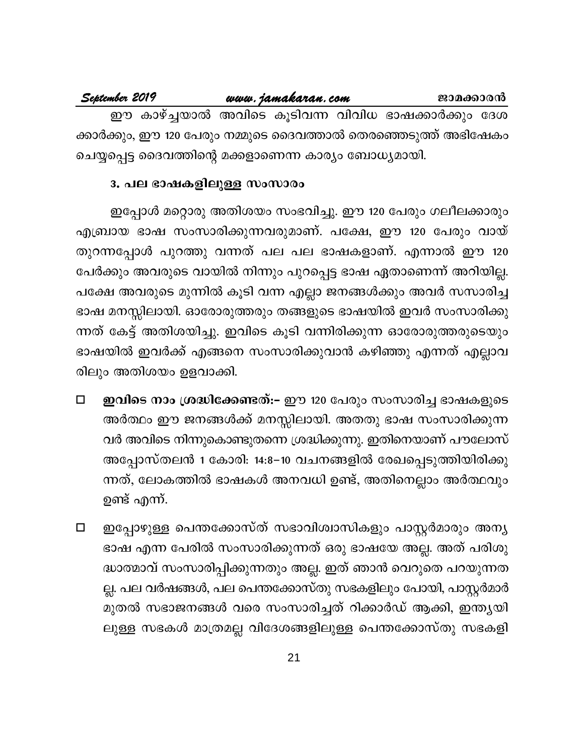| September 2019 |                                                        | www.jamakaran.com | ജാമക്കാരൻ                                                      |  |
|----------------|--------------------------------------------------------|-------------------|----------------------------------------------------------------|--|
|                |                                                        |                   | ഈ കാഴ്ച്ചയാൽ അവിടെ കുടിവന്ന വിവിധ ഭാഷക്കാർക്കും ദേശ            |  |
|                |                                                        |                   | ക്കാർക്കും, ഈ 120 പേരും നമ്മുടെ ദൈവത്താൽ തെരഞ്ഞെടുത്ത് അഭിഷേകം |  |
|                | ചെയ്യപ്പെട്ട ദൈവത്തിന്റെ മക്കളാണെന്ന കാര്യം ബോധ്യമായി. |                   |                                                                |  |

# 3. പല ഭാഷകളിലുള്ള സംസാരം

ഇപ്പോൾ മറ്റൊരു അതിശയം സംഭവിച്ചു. ഈ 120 പേരും ഗലീലക്കാരും എബ്രായ ഭാഷ സംസാരിക്കുന്നവരുമാണ്. പക്ഷേ, ഈ 120 പേരും വായ് തുറന്നപ്പോൾ പുറത്തു വന്നത് പല പല ഭാഷകളാണ്. എന്നാൽ ഈ 120 പേർക്കും അവരുടെ വായിൽ നിന്നും പുറപ്പെട്ട ഭാഷ ഏതാണെന്ന് അറിയില്ല. പക്ഷേ അവരുടെ മുന്നിൽ കൂടി വന്ന എല്ലാ ജനങ്ങൾക്കും അവർ സസാരിച്ച ഭാഷ മനസ്സിലായി. ഓരോരുത്തരും തങ്ങളുടെ ഭാഷയിൽ ഇവർ സംസാരിക്കു ന്നത് കേട്ട് അതിശയിച്ചു. ഇവിടെ കൂടി വന്നിരിക്കുന്ന ഓരോരുത്തരുടെയും ഭാഷയിൽ ഇവർക്ക് എങ്ങനെ സംസാരിക്കുവാൻ കഴിഞ്ഞു എന്നത് എല്ലാവ രിലും അതിശയം ഉളവാക്കി.

- ഇവിടെ നാം ശ്രദ്ധിക്കേണ്ടത്:– ഈ 120 പേരും സംസാരിച്ച ഭാഷകളുടെ  $\Box$ അർത്ഥം ഈ ജനങ്ങൾക്ക് മനസ്സിലായി. അതതു ഭാഷ സംസാരിക്കുന്ന വർ അവിടെ നിന്നുകൊണ്ടുതന്നെ ശ്രദ്ധിക്കുന്നു. ഇതിനെയാണ് പൗലോസ് അപ്പോസ്തലൻ 1 കോരി: 14:8–10 വചനങ്ങളിൽ രേഖപ്പെടുത്തിയിരിക്കു ന്നത്, ലോകത്തിൽ ഭാഷകൾ അനവധി ഉണ്ട്, അതിനെല്ലാം അർത്ഥവും ഉണ്ട് എന്ന്.
- ഇപ്പോഴുള്ള പെന്തക്കോസ്ത് സഭാവിശ്വാസികളും പാസ്റ്റർമാരും അന്യ  $\Box$ ഭാഷ എന്ന പേരിൽ സംസാരിക്കുന്നത് ഒരു ഭാഷയേ അല്ല. അത് പരിശു ദ്ധാത്മാവ് സംസാരിപ്പിക്കുന്നതും അല്ല. ഇത് ഞാൻ വെറുതെ പറയുന്നത ല്ല. പല വർഷങ്ങൾ, പല പെന്തക്കോസ്തു സഭകളിലും പോയി, പാസ്റ്റർമാർ മുതൽ സഭാജനങ്ങൾ വരെ സംസാരിച്ചത് റിക്കാർഡ് ആക്കി, ഇന്ത്യയി ലുള്ള സഭകൾ മാത്രമല്ല വിദേശങ്ങളിലുള്ള പെന്തക്കോസ്തു സഭകളി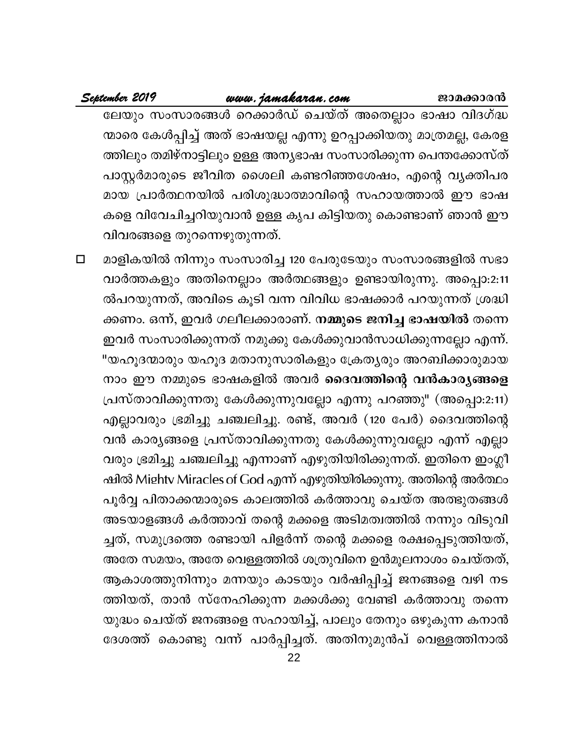# <u>www.jamakaran.com</u>

# September 2019

ലേയും സംസാരങ്ങൾ റെക്കാർഡ് ചെയ്ത് അതെല്ലാം ഭാഷാ വിദഗ്ദ്ധ ന്മാരെ കേൾപ്പിച്ച് അത് ഭാഷയല്ല എന്നു ഉറപ്പാക്കിയതു മാത്രമല്ല, കേരള ത്തിലും തമിഴ്നാട്ടിലും ഉള്ള അന്യഭാഷ സംസാരിക്കുന്ന പെന്തക്കോസ്ത് പാസ്റ്റർമാരുടെ ജീവിത ശൈലി കണ്ടറിഞ്ഞശേഷം, എന്റെ വൃക്തിപര മായ പ്രാർത്ഥനയിൽ പരിശുദ്ധാത്മാവിന്റെ സഹായത്താൽ ഈ ഭാഷ കളെ വിവേചിച്ചറിയുവാൻ ഉള്ള കൃപ കിട്ടിയതു കൊണ്ടാണ് ഞാൻ ഈ വിവരങ്ങളെ തുറന്നെഴുതുന്നത്.

മാളികയിൽ നിന്നും സംസാരിച്ച 120 പേരുടേയും സംസാരങ്ങളിൽ സഭാ  $\Box$ വാർത്തകളും അതിനെല്ലാം അർത്ഥങ്ങളും ഉണ്ടായിരുന്നു. അപ്പൊ:2:11 ൽപറയുന്നത്, അവിടെ കൂടി വന്ന വിവിധ ഭാഷക്കാർ പറയുന്നത് ശ്രദ്ധി ക്കണം. ഒന്ന്, ഇവർ ഗലീലക്കാരാണ്. **നമ്മുടെ ജനിച്ച ഭാഷയിൽ** തന്നെ ഇവർ സംസാരിക്കുന്നത് നമുക്കു കേൾക്കുവാൻസാധിക്കുന്നല്ലോ എന്ന്. "യഹൂദന്മാരും യഹൂദ മതാനുസാരികളും ക്രേത്യരും അറബിക്കാരുമായ നാം ഈ നമ്മുടെ ഭാഷകളിൽ അവർ ദൈവത്തിന്റെ വൻകാര്യങ്ങളെ പ്രസ്താവിക്കുന്നതു കേൾക്കുന്നുവല്ലോ എന്നു പറഞ്ഞു" (അപ്പൊ:2:11) എല്ലാവരും ഭ്രമിച്ചു ചഞ്ചലിച്ചു. രണ്ട്, അവർ (120 പേർ) ദൈവത്തിന്റെ വൻ കാര്യങ്ങളെ പ്രസ്താവിക്കുന്നതു കേൾക്കുന്നുവല്ലോ എന്ന് എല്ലാ വരും ഭ്രമിച്ചു ചഞ്ചലിച്ചു എന്നാണ് എഴുതിയിരിക്കുന്നത്. ഇതിനെ ഇംഗ്ലീ ഷിൽ Mightv Miracles of God എന്ന് എഴുതിയിരിക്കുന്നു. അതിന്റെ അർത്ഥം പൂർവ്വ പിതാക്കന്മാരുടെ കാലത്തിൽ കർത്താവു ചെയ്ത അത്ഭുതങ്ങൾ അടയാളങ്ങൾ കർത്താവ് തന്റെ മക്കളെ അടിമത്വത്തിൽ നന്നും വിടുവി ച്ചത്, സമുദ്രത്തെ രണ്ടായി പിളർന്ന് തന്റെ മക്കളെ രക്ഷപ്പെടുത്തിയത്, അതേ സമയം, അതേ വെള്ളത്തിൽ ശത്രുവിനെ ഉൻമൂലനാശം ചെയ്തത്, ആകാശത്തുനിന്നും മന്നയും കാടയും വർഷിപ്പിച്ച് ജനങ്ങളെ വഴി നട ത്തിയത്, താൻ സ്നേഹിക്കുന്ന മക്കൾക്കു വേണ്ടി കർത്താവു തന്നെ യുദ്ധം ചെയ്ത് ജനങ്ങളെ സഹായിച്ച്, പാലും തേനും ഒഴുകുന്ന കനാൻ ദേശത്ത് കൊണ്ടു വന്ന് പാർപ്പിച്ചത്. അതിനുമുൻപ് വെള്ളത്തിനാൽ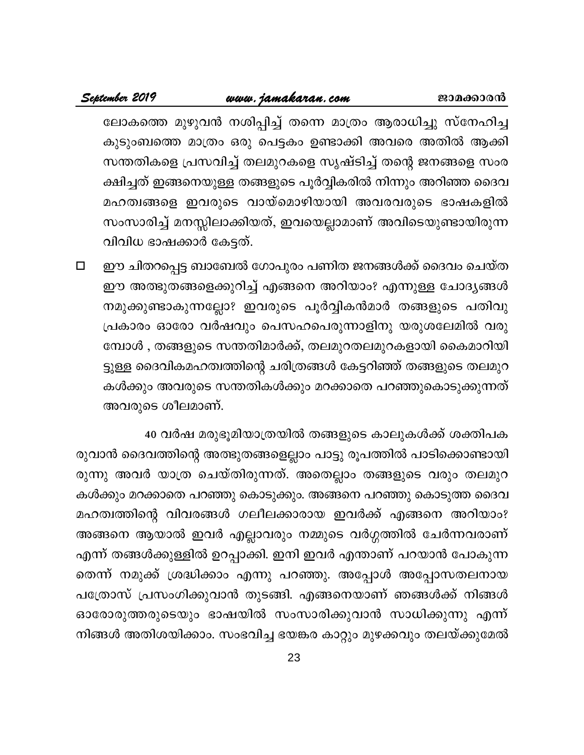# www.jamakaran.com

ലോകത്തെ മുഴുവൻ നശിപ്പിച്ച് തന്നെ മാത്രം ആരാധിച്ചു സ്നേഹിച്ച കുടുംബത്തെ മാത്രം ഒരു പെട്ടകം ഉണ്ടാക്കി അവരെ അതിൽ ആക്കി സന്തതികളെ പ്രസവിച്ച് തലമുറകളെ സൃഷ്ടിച്ച് തന്റെ ജനങ്ങളെ സംര ക്ഷിച്ചത് ഇങ്ങനെയുള്ള തങ്ങളുടെ പൂർവ്വികരിൽ നിന്നും അറിഞ്ഞ ദൈവ മഹത്വങ്ങളെ ഇവരുടെ വായ്മൊഴിയായി അവരവരുടെ ഭാഷകളിൽ സംസാരിച്ച് മനസ്സിലാക്കിയത്, ഇവയെല്ലാമാണ് അവിടെയുണ്ടായിരുന്ന വിവിധ ഭാഷക്കാർ കേട്ടത്.

ഈ ചിതറപ്പെട്ട ബാബേൽ ഗോപുരം പണിത ജനങ്ങൾക്ക് ദൈവം ചെയ്ത  $\Box$ ഈ അത്ഭുതങ്ങളെക്കുറിച്ച് എങ്ങനെ അറിയാം? എന്നുള്ള ചോദൃങ്ങൾ നമുക്കുണ്ടാകുന്നല്ലോ? ഇവരുടെ പൂർവ്വികൻമാർ തങ്ങളുടെ പതിവു പ്രകാരം ഓരോ വർഷവും പെസഹപെരുന്നാളിനു യരുശലേമിൽ വരു മ്പോൾ , തങ്ങളുടെ സന്തതിമാർക്ക്, തലമുറതലമുറകളായി കൈമാറിയി ട്ടുള്ള ദൈവികമഹത്വത്തിന്റെ ചരിത്രങ്ങൾ കേട്ടറിഞ്ഞ് തങ്ങളുടെ തലമുറ കൾക്കും അവരുടെ സന്തതികൾക്കും മറക്കാതെ പറഞ്ഞുകൊടുക്കുന്നത് അവരുടെ ശീലമാണ്.

40 വർഷ മരുഭൂമിയാത്രയിൽ തങ്ങളുടെ കാലുകൾക്ക് ശക്തിപക രുവാൻ ദൈവത്തിന്റെ അത്ഭുതങ്ങളെല്ലാം പാട്ടു രൂപത്തിൽ പാടിക്കൊണ്ടായി രുന്നു അവർ യാത്ര ചെയ്തിരുന്നത്. അതെല്ലാം തങ്ങളുടെ വരും തലമുറ കൾക്കും മറക്കാതെ പറഞ്ഞു കൊടുക്കും. അങ്ങനെ പറഞ്ഞു കൊടുത്ത ദൈവ മഹത്വത്തിന്റെ വിവരങ്ങൾ ഗലീലക്കാരായ ഇവർക്ക് എങ്ങനെ അറിയാം? അങ്ങനെ ആയാൽ ഇവർ എല്ലാവരും നമ്മുടെ വർഗ്ഗത്തിൽ ചേർന്നവരാണ് എന്ന് തങ്ങൾക്കുള്ളിൽ ഉറപ്പാക്കി. ഇനി ഇവർ എന്താണ് പറയാൻ പോകുന്ന തെന്ന് നമുക്ക് ശ്രദ്ധിക്കാം എന്നു പറഞ്ഞു. അപ്പോൾ അപ്പോസതലനായ പത്രോസ് പ്രസംഗിക്കുവാൻ തുടങ്ങി. എങ്ങനെയാണ് ഞങ്ങൾക്ക് നിങ്ങൾ ഓരോരുത്തരുടെയും ഭാഷയിൽ സംസാരിക്കുവാൻ സാധിക്കുന്നു എന്ന് നിങ്ങൾ അതിശയിക്കാം. സംഭവിച്ച ഭയങ്കര കാറ്റും മുഴക്കവും തലയ്ക്കുമേൽ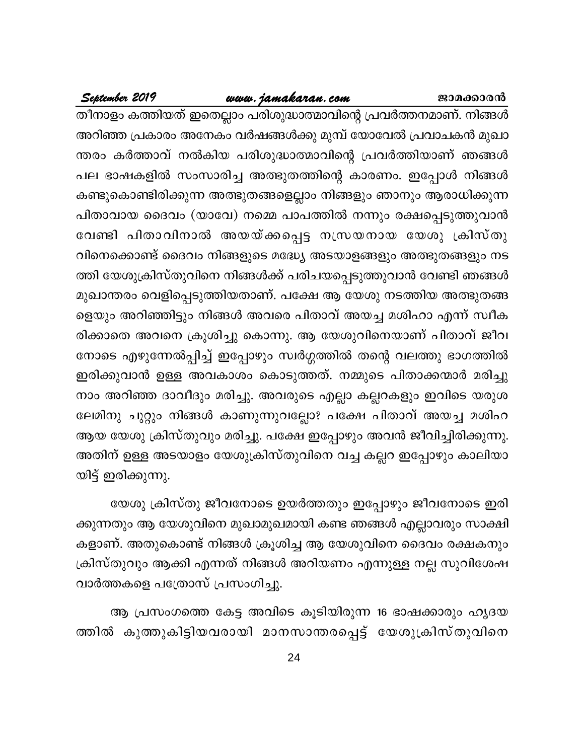# www.jamakaran.com

September 2019

തീനാളം കത്തിയത് ഇതെല്ലാം പരിശുദ്ധാത്മാവിന്റെ പ്രവർത്തനമാണ്. നിങ്ങൾ അറിഞ്ഞ പ്രകാരം അനേകം വർഷങ്ങൾക്കു മുമ്പ് യോവേൽ പ്രവാചകൻ മുഖാ ന്തരം കർത്താവ് നൽകിയ പരിശുദ്ധാത്മാവിന്റെ പ്രവർത്തിയാണ് ഞങ്ങൾ പല ഭാഷകളിൽ സംസാരിച്ച അത്ഭുതത്തിന്റെ കാരണം. ഇപ്പോൾ നിങ്ങൾ കണ്ടുകൊണ്ടിരിക്കുന്ന അത്ഭുതങ്ങളെല്ലാം നിങ്ങളും ഞാനും ആരാധിക്കുന്ന പിതാവായ ദൈവം (യാവേ) നമ്മെ പാപത്തിൽ നന്നും രക്ഷപ്പെടുത്തുവാൻ വേണ്ടി പിതാവിനാൽ അയയ്ക്കപ്പെട്ട നസ്രയനായ യേശു ക്രിസ്തു വിനെക്കൊണ്ട് ദൈവം നിങ്ങളുടെ മദ്ധ്യേ അടയാളങ്ങളും അത്ഭുതങ്ങളും നട ത്തി യേശുക്രിസ്തുവിനെ നിങ്ങൾക്ക് പരിചയപ്പെടുത്തുവാൻ വേണ്ടി ഞങ്ങൾ മുഖാന്തരം വെളിപ്പെടുത്തിയതാണ്. പക്ഷേ ആ യേശു നടത്തിയ അത്ഭുതങ്ങ ളെയും അറിഞ്ഞിട്ടും നിങ്ങൾ അവരെ പിതാവ് അയച്ച മശിഹാ എന്ന് സ്വീക രിക്കാതെ അവനെ ക്രൂശിച്ചു കൊന്നു. ആ യേശുവിനെയാണ് പിതാവ് ജീവ നോടെ എഴുന്നേൽപ്പിച്ച് ഇപ്പോഴും സ്വർഗ്ഗത്തിൽ തന്റെ വലത്തു ഭാഗത്തിൽ ഇരിക്കുവാൻ ഉള്ള അവകാശം കൊടുത്തത്. നമ്മുടെ പിതാക്കന്മാർ മരിച്ചു നാം അറിഞ്ഞ ദാവീദും മരിച്ചു. അവരുടെ എല്ലാ കല്ലറകളും ഇവിടെ യരുശ ലേമിനു ചുറ്റും നിങ്ങൾ കാണുന്നുവല്ലോ? പക്ഷേ പിതാവ് അയച്ച മശിഹ ആയ യേശു ക്രിസ്തുവും മരിച്ചു. പക്ഷേ ഇപ്പോഴും അവൻ ജീവിച്ചിരിക്കുന്നു. അതിന് ഉള്ള അടയാളം യേശുക്രിസ്തുവിനെ വച്ച കല്ലറ ഇപ്പോഴും കാലിയാ യിട്ട് ഇരിക്കുന്നു.

യേശു ക്രിസ്തു ജീവനോടെ ഉയർത്തതും ഇപ്പോഴും ജീവനോടെ ഇരി ക്കുന്നതും ആ യേശുവിനെ മുഖാമുഖമായി കണ്ട ഞങ്ങൾ എല്ലാവരും സാക്ഷി കളാണ്. അതുകൊണ്ട് നിങ്ങൾ ക്രൂശിച്ച ആ യേശുവിനെ ദൈവം രക്ഷകനും ക്രിസ്തുവും ആക്കി എന്നത് നിങ്ങൾ അറിയണം എന്നുള്ള നല്ല സുവിശേഷ വാർത്തകളെ പത്രോസ് പ്രസംഗിച്ചു.

ആ പ്രസംഗത്തെ കേട്ട അവിടെ കൂടിയിരുന്ന 16 ഭാഷക്കാരും ഹൃദയ ത്തിൽ കുത്തുകിട്ടിയവരായി മാനസാന്തരപ്പെട്ട് യേശുക്രിസ്തുവിനെ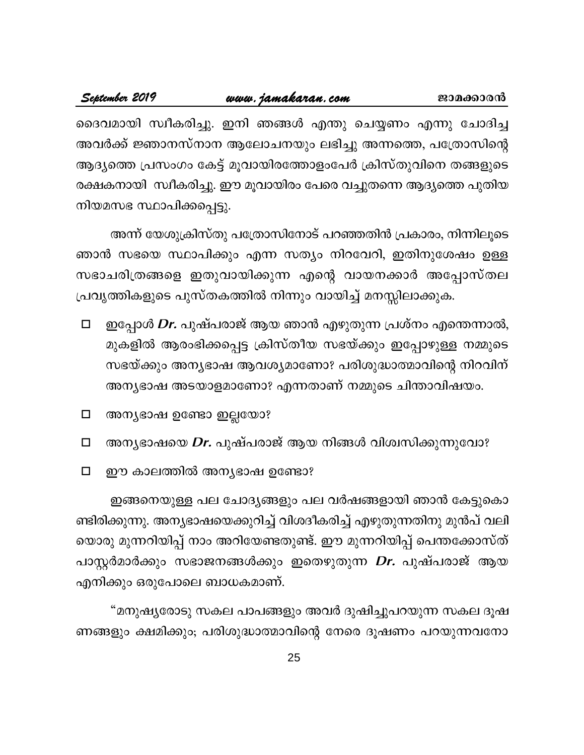## www.jamakaran.com September 2019

ദൈവമായി സ്വീകരിച്ചു. ഇനി ഞങ്ങൾ എന്തു ചെയ്യണം എന്നു ചോദിച്ച അവർക്ക് ജ്ഞാനസ്നാന ആലോചനയും ലഭിച്ചു അന്നത്തെ, പത്രോസിന്റെ ആദ്യത്തെ പ്രസംഗം കേട്ട് മൂവായിരത്തോളംപേർ ക്രിസ്തുവിനെ തങ്ങളുടെ രക്ഷകനായി സ്വീകരിച്ചു. ഈ മൂവായിരം പേരെ വച്ചുതന്നെ ആദ്യത്തെ പുതിയ നിയമസഭ സ്ഥാപിക്കപ്പെട്ടു.

അന്ന് യേശുക്രിസ്തു പത്രോസിനോട് പറഞ്ഞതിൻ പ്രകാരം, നിന്നിലൂടെ ഞാൻ സഭയെ സ്ഥാപിക്കും എന്ന സത്യം നിറവേറി, ഇതിനുശേഷം ഉള്ള സഭാചരിത്രങ്ങളെ ഇതുവായിക്കുന്ന എന്റെ വായനക്കാർ അപ്പോസ്തല പ്രവൃത്തികളുടെ പുസ്തകത്തിൽ നിന്നും വായിച്ച് മനസ്സിലാക്കുക.

- ഇപ്പോൾ *Dr*. പുഷ്പരാജ് ആയ ഞാൻ എഴുതുന്ന പ്രശ്നം എന്തെന്നാൽ,  $\Box$ മുകളിൽ ആരംഭിക്കപ്പെട്ട ക്രിസ്തീയ സഭയ്ക്കും ഇപ്പോഴുള്ള നമ്മുടെ സഭയ്ക്കും അന്യഭാഷ ആവശ്യമാണോ? പരിശുദ്ധാത്മാവിന്റെ നിറവിന് അന്യഭാഷ അടയാളമാണോ? എന്നതാണ് നമ്മുടെ ചിന്താവിഷയം.
- അന്യഭാഷ ഉണ്ടോ ഇല്ലയോ?  $\Box$
- അന്യഭാഷയെ Dr. പുഷ്പരാജ് ആയ നിങ്ങൾ വിശ്വസിക്കുന്നുവോ?  $\Box$
- $\Box$ ഈ കാലത്തിൽ അന്യഭാഷ ഉണ്ടോ?

ഇങ്ങനെയുള്ള പല ചോദ്യങ്ങളും പല വർഷങ്ങളായി ഞാൻ കേട്ടുകൊ ണ്ടിരിക്കുന്നു. അന്യഭാഷയെക്കുറിച്ച് വിശദീകരിച്ച് എഴുതുന്നതിനു മുൻപ് വലി യൊരു മുന്നറിയിപ്പ് നാം അറിയേണ്ടതുണ്ട്. ഈ മുന്നറിയിപ്പ് പെന്തക്കോസ്ത് പാസ്റ്റർമാർക്കും സഭാജനങ്ങൾക്കും ഇതെഴുതുന്ന *Dr.* പുഷ്പരാജ് ആയ എനിക്കും ഒരുപോലെ ബാധകമാണ്.

"മനുഷ്യരോടു സകല പാപങ്ങളും അവർ ദുഷിച്ചുപറയുന്ന സകല ദൂഷ ണങ്ങളും ക്ഷമിക്കും; പരിശുദ്ധാത്മാവിന്റെ നേരെ ദൂഷണം പറയുന്നവനോ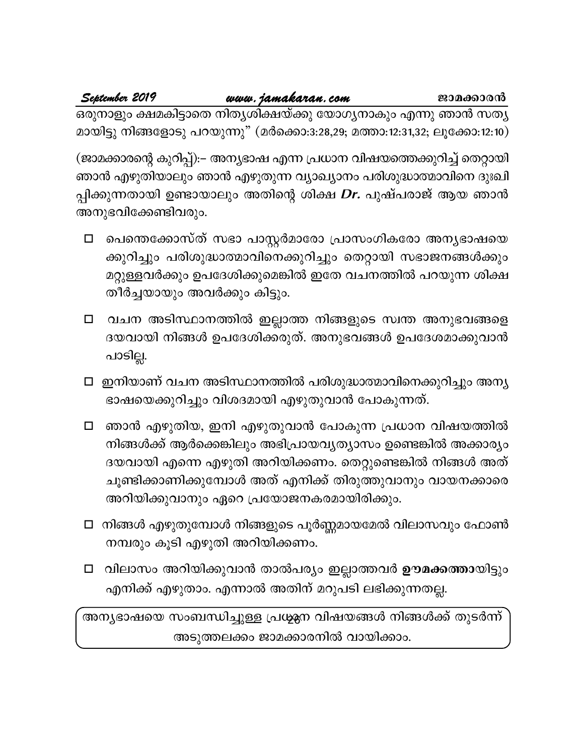## September 2019 www.jamakaran.com

ജാമക്കാരൻ

ഒരുനാളും ക്ഷമകിട്ടാതെ നിതൃശിക്ഷയ്ക്കു യോഗൃനാകും എന്നു ഞാൻ സതൃ മായിട്ടു നിങ്ങളോടു പറയുന്നു" (മർക്കൊ:3:28,29; മത്താ:12:31,32; ലൂക്കോ:12:10)

(ജാമക്കാരന്റെ കുറിപ്പ്):– അന്യഭാഷ എന്ന പ്രധാന വിഷയത്തെക്കുറിച്ച് തെറ്റായി ഞാൻ എഴുതിയാലും ഞാൻ എഴുതുന്ന വ്യാഖ്യാനം പരിശുദ്ധാത്മാവിനെ ദുഃഖി പ്പിക്കുന്നതായി ഉണ്ടായാലും അതിന്റെ ശിക്ഷ *Dr*. പുഷ്പരാജ് ആയ ഞാൻ അനുഭവിക്കേണ്ടിവരും.

- പെന്തെക്കോസ്ത് സഭാ പാസ്റ്റർമാരോ പ്രാസംഗികരോ അന്യഭാഷയെ  $\Box$ ക്കുറിച്ചും പരിശുദ്ധാത്മാവിനെക്കുറിച്ചും തെറ്റായി സഭാജനങ്ങൾക്കും മറ്റുള്ളവർക്കും ഉപദേശിക്കുമെങ്കിൽ ഇതേ വചനത്തിൽ പറയുന്ന ശിക്ഷ തീർച്ചയായും അവർക്കും കിട്ടും.
- വചന അടിസ്ഥാനത്തിൽ ഇല്ലാത്ത നിങ്ങളുടെ സ്വന്ത അനുഭവങ്ങളെ  $\Box$ ദയവായി നിങ്ങൾ ഉപദേശിക്കരുത്. അനുഭവങ്ങൾ ഉപദേശമാക്കുവാൻ പാടില്ല.
- □ ഇനിയാണ് വചന അടിസ്ഥാനത്തിൽ പരിശുദ്ധാത്മാവിനെക്കുറിച്ചും അന്യ ഭാഷയെക്കുറിച്ചും വിശദമായി എഴുതുവാൻ പോകുന്നത്.
- □ ഞാൻ എഴുതിയ, ഇനി എഴുതുവാൻ പോകുന്ന പ്രധാന വിഷയത്തിൽ നിങ്ങൾക്ക് ആർക്കെങ്കിലും അഭിപ്രായവൃത്യാസം ഉണ്ടെങ്കിൽ അക്കാര്യം ദയവായി എന്നെ എഴുതി അറിയിക്കണം. തെറ്റുണ്ടെങ്കിൽ നിങ്ങൾ അത് ചൂണ്ടിക്കാണിക്കുമ്പോൾ അത് എനിക്ക് തിരുത്തുവാനും വായനക്കാരെ അറിയിക്കുവാനും ഏറെ പ്രയോജനകരമായിരിക്കും.
- □ നിങ്ങൾ എഴുതുമ്പോൾ നിങ്ങളുടെ പൂർണ്ണമായമേൽ വിലാസവും ഫോൺ നമ്പരും കൂടി എഴുതി അറിയിക്കണം.
- □ വിലാസം അറിയിക്കുവാൻ താൽപര്യം ഇല്ലാത്തവർ ഊമക്കത്തായിട്ടും എനിക്ക് എഴുതാം. എന്നാൽ അതിന് മറുപടി ലഭിക്കുന്നതല്ല.

അന്യഭാഷയെ സംബന്ധിച്ചുള്ള പ്രശ്മന വിഷയങ്ങൾ നിങ്ങൾക്ക് തുടർന്ന് അടുത്തലക്കം ജാമക്കാരനിൽ വായിക്കാം.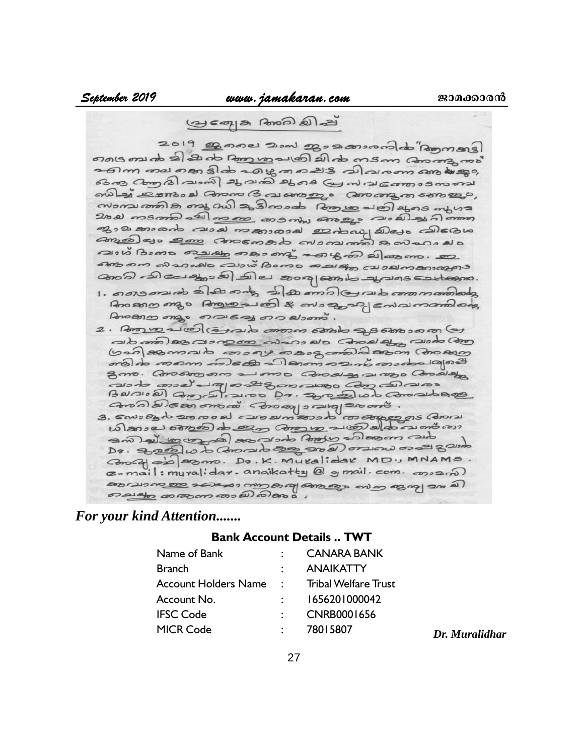எல்கைக்கிக்கு நாது வைக்கிக் கைக்கு சென்றாக்கு உள்ள வை என திக் வக்கு வையு விவுவான் காக்கது கெல கேற்கி வணி ஆவகி ஆசு கு ஸ்வக்கை வை ஸிஆ் உணவை வேலை வேலை வான் வை mondement of any and a showed for the along of us and was 2000 msmm 2 000 000 consom ango 200 26) 26 0000 தாவகைக் வலக் கைலைக் உல்லா விசல விகை amadas em consorto cromon sovano sui Bomo malabo nos ma sous mo alcomo. anos de carao a de sorgano a aversantano. Anomonyo Angros es & mosos enamanados Prococo mas nousas no elsono. 2. Poro vo 21@ @ 210 00000 6800 2,368000000 (2) ald como) 200 000000 cidans el c Conolado (200 como (ban asmado consoy os as good asm con com ണ്ടിക തന്നെ ബിക്കേ പിങ്ങനു ബന് താരം ചര്യ ബ gmo. Constrono 21000 Consela 21000 Consista asto mod' al podez massa com canavas

Baraidans du Da. 200 Daludo Comadonas

Dr. 2000 w to Concrete 200 200) or Down os 21 8 21100 Conced est asmo. Do. K. Muralidar MD., MNAMS. a-mail: muralidar. anaikatty @ g mail. com. 000000) De ac las com aco ale de como los comos como cos de எவ்கூற குறைகையிலிலை

# *For your kind Attention.......*

# **Bank Account Details .. TWT**

| Name of Bank                                | CANARA BANK      |
|---------------------------------------------|------------------|
| <b>Branch</b>                               | <b>ANAIKATTY</b> |
| Account Holders Name : Tribal Welfare Trust |                  |
| Account No.                                 | 1656201000042    |
| <b>IFSC Code</b>                            | CNRB0001656      |
| <b>MICR Code</b>                            | 78015807         |

MICR Code : 78015807 *Dr. Muralidhar*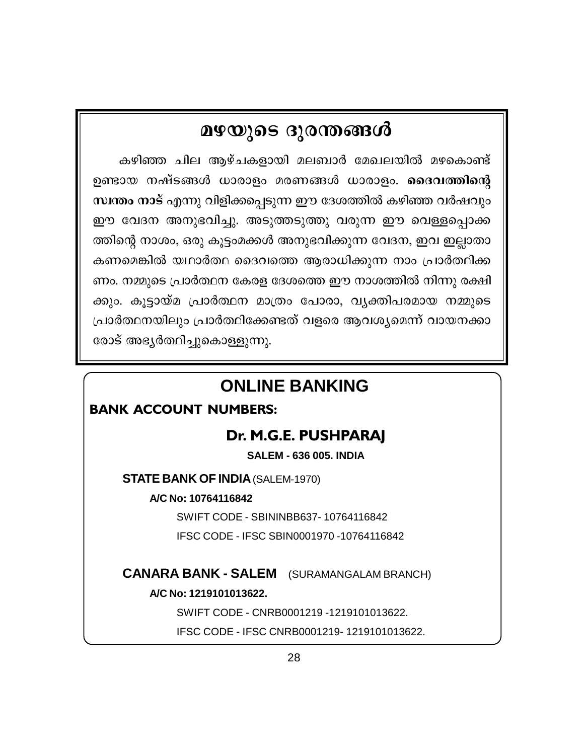# മഴയുടെ ദുരന്തങ്ങൾ

കഴിഞ്ഞ ചില ആഴ്ചകളായി മലബാർ മേഖലയിൽ മഴകൊണ്ട് ഉണ്ടായ നഷ്ടങ്ങൾ ധാരാളം മരണങ്ങൾ ധാരാളം. **ദൈവത്തിന്റെ** സ്ഥന്തം നാട് എന്നു വിളിക്കപ്പെടുന്ന ഈ ദേശത്തിൽ കഴിഞ്ഞ വർഷവും ഈ വേദന അനുഭവിച്ചു. അടുത്തടുത്തു വരുന്ന ഈ വെള്ളപ്പൊക്ക ത്തിന്റെ നാശം, ഒരു കൂട്ടംമക്കൾ അനുഭവിക്കുന്ന വേദന, ഇവ ഇല്ലാതാ കണമെങ്കിൽ യഥാർത്ഥ ദൈവത്തെ ആരാധിക്കുന്ന നാം പ്രാർത്ഥിക്ക ണം. നമ്മുടെ പ്രാർത്ഥന കേരള ദേശത്തെ ഈ നാശത്തിൽ നിന്നു രക്ഷി ക്കും. കൂട്ടായ്മ പ്രാർത്ഥന മാത്രം പോരാ, വൃക്തിപരമായ നമ്മുടെ പ്രാർത്ഥനയിലും പ്രാർത്ഥിക്കേണ്ടത് വളരെ ആവശ്യമെന്ന് വായനക്കാ രോട് അഭ്യർത്ഥിച്ചുകൊള്ളുന്നു.

# **ONLINE BANKING**

# **BANK ACCOUNT NUMBERS:**

# Dr. M.G.E. PUSHPARAJ

**SALEM - 636 005. INDIA** 

**STATE BANK OF INDIA (SALEM-1970)** 

A/C No: 10764116842

SWIFT CODE - SBININBB637-10764116842 IFSC CODE - IFSC SBIN0001970 -10764116842

**CANARA BANK - SALEM** (SURAMANGALAM BRANCH)

A/C No: 1219101013622.

SWIFT CODE - CNRB0001219 -1219101013622. IFSC CODE - IFSC CNRB0001219-1219101013622.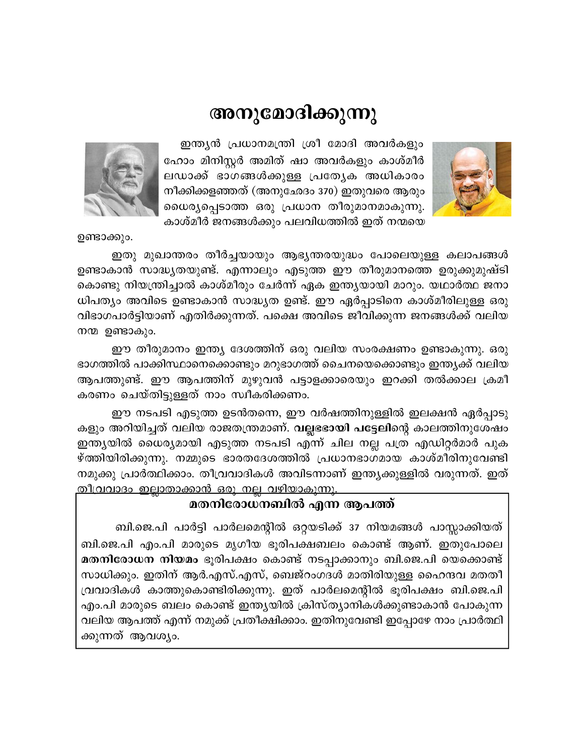# അനുമോദിക്കുന്നു



ഇന്ത്യൻ പ്രധാനമന്ത്രി ശ്രീ മോദി അവർകളും ഹോം മിനിസ്റ്റർ അമിത് ഷാ അവർകളും കാശ്മീർ ലഡാക്ക് ഭാഗങ്ങൾക്കുള്ള പ്രത്യേക അധികാരം നീക്കിക്കളഞ്ഞത് (അനുഛേദം 370) ഇതുവരെ ആരും ധൈര്യപ്പെടാത്ത ഒരു പ്രധാന തീരുമാനമാകുന്നു. കാശ്മീർ ജനങ്ങൾക്കും പലവിധത്തിൽ ഇത് നന്മയെ



ഇതു മുഖാന്തരം തീർച്ചയായും ആഭ്യന്തരയുദ്ധം പോലെയുള്ള കലാപങ്ങൾ ഉണ്ടാകാൻ സാദ്ധ്യതയുണ്ട്. എന്നാലും എടുത്ത ഈ തീരുമാനത്തെ ഉരുക്കുമുഷ്ടി കൊണ്ടു നിയന്ത്രിച്ചാൽ കാശ്മീരും ചേർന്ന് ഏക ഇന്ത്യയായി മാറും. യഥാർത്ഥ ജനാ ധിപത്യം അവിടെ ഉണ്ടാകാൻ സാദ്ധ്യത ഉണ്ട്. ഈ ഏർപ്പാടിനെ കാശ്മീരിലുള്ള ഒരു വിഭാഗപാർട്ടിയാണ് എതിർക്കുന്നത്. പക്ഷെ അവിടെ ജീവിക്കുന്ന ജനങ്ങൾക്ക് വലിയ നന്മ ഉണ്ടാകും.

ഈ തീരുമാനം ഇന്ത്യ ദേശത്തിന് ഒരു വലിയ സംരക്ഷണം ഉണ്ടാകുന്നു. ഒരു ഭാഗത്തിൽ പാക്കിസ്ഥാനെക്കൊണ്ടും മറുഭാഗത്ത് ചൈനയെക്കൊണ്ടും ഇന്ത്യക്ക് വലിയ ആപത്തുണ്ട്. ഈ ആപത്തിന് മുഴുവൻ പട്ടാളക്കാരെയും ഇറക്കി തൽക്കാല ക്രമീ കരണം ചെയ്തിട്ടുള്ളത് നാം സ്വീകരിക്കണം.

ഈ നടപടി എടുത്ത ഉടൻതന്നെ, ഈ വർഷത്തിനുള്ളിൽ ഇലക്ഷൻ ഏർപ്പാടു കളും അറിയിച്ചത് വലിയ രാജതന്ത്രമാണ്. <mark>വല്ലഭോയി പട്ടേലി</mark>ന്റെ കാലത്തിനുശേഷം ഇന്ത്യയിൽ ധൈര്യമായി എടുത്ത നടപടി എന്ന് ചില നല്ല പത്ര എഡിറ്റർമാർ പുക ഴ്ത്തിയിരിക്കുന്നു. നമ്മുടെ ഭാരതദേശത്തിൽ പ്രധാനഭാഗമായ കാശ്മീരിനുവേണ്ടി നമുക്കു പ്രാർത്ഥിക്കാം. തീവ്രവാദികൾ അവിടന്നാണ് ഇന്ത്യക്കുള്ളിൽ വരുന്നത്. ഇത് <u>തീവ്രവാദം ഇല്ലാതാക്കാൻ ഒരു നല്ല വഴിയാകുന്നു.</u>

# മതനിരോധനബിൽ എന്ന ആപത്ത്

ബി.ജെ.പി പാർട്ടി പാർലമെന്റിൽ ഒറ്റയടിക്ക് 37 നിയമങ്ങൾ പാസ്സാക്കിയത് ബി.ജെ.പി എം.പി മാരുടെ മൃഗീയ ഭൂരിപക്ഷബലം കൊണ്ട് ആണ്. ഇതുപോലെ മതനിരോധന നിയമം ഭൂരിപക്ഷം കൊണ്ട് നടപ്പാക്കാനും ബി.ജെ.പി യെക്കൊണ്ട് സാധിക്കും. ഇതിന് ആർ.എസ്.എസ്, ബെജ്റംഗദൾ മാതിരിയുള്ള ഹൈന്ദവ മതതീ വ്രവാദികൾ കാത്തുകൊണ്ടിരിക്കുന്നു. ഇത് പാർലമെന്റിൽ ഭൂരിപക്ഷം ബി.ജെ.പി എം.പി മാരുടെ ബലം കൊണ്ട് ഇന്ത്യയിൽ ക്രിസ്ത്യാനികൾക്കുണ്ടാകാൻ പോകുന്ന വലിയ ആപത്ത് എന്ന് നമുക്ക് പ്രതീക്ഷിക്കാം. ഇതിനുവേണ്ടി ഇപ്പോഴേ നാം പ്രാർത്ഥി ക്കുന്നത് ആവശ്യം.